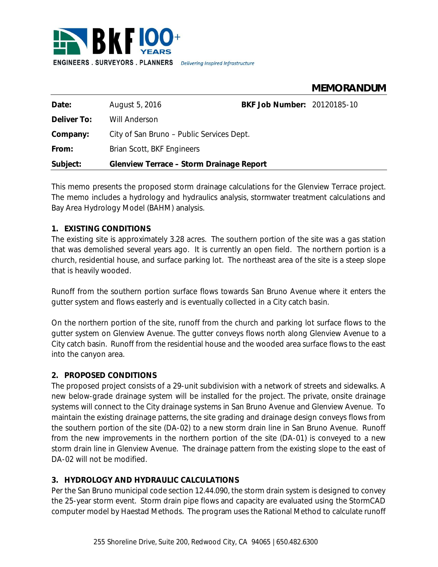

# **MEMORANDUM**

| Date:       | August 5, 2016                            | BKF Job Number: 20120185-10 |  |  |
|-------------|-------------------------------------------|-----------------------------|--|--|
| Deliver To: | <b>Will Anderson</b>                      |                             |  |  |
| Company:    | City of San Bruno – Public Services Dept. |                             |  |  |
| From:       | Brian Scott, BKF Engineers                |                             |  |  |
| Subject:    | Glenview Terrace - Storm Drainage Report  |                             |  |  |
|             |                                           |                             |  |  |

This memo presents the proposed storm drainage calculations for the Glenview Terrace project. The memo includes a hydrology and hydraulics analysis, stormwater treatment calculations and Bay Area Hydrology Model (BAHM) analysis.

# **1. EXISTING CONDITIONS**

The existing site is approximately 3.28 acres. The southern portion of the site was a gas station that was demolished several years ago. It is currently an open field. The northern portion is a church, residential house, and surface parking lot. The northeast area of the site is a steep slope that is heavily wooded.

Runoff from the southern portion surface flows towards San Bruno Avenue where it enters the gutter system and flows easterly and is eventually collected in a City catch basin.

On the northern portion of the site, runoff from the church and parking lot surface flows to the gutter system on Glenview Avenue. The gutter conveys flows north along Glenview Avenue to a City catch basin. Runoff from the residential house and the wooded area surface flows to the east into the canyon area.

# **2. PROPOSED CONDITIONS**

The proposed project consists of a 29-unit subdivision with a network of streets and sidewalks. A new below-grade drainage system will be installed for the project. The private, onsite drainage systems will connect to the City drainage systems in San Bruno Avenue and Glenview Avenue. To maintain the existing drainage patterns, the site grading and drainage design conveys flows from the southern portion of the site (DA-02) to a new storm drain line in San Bruno Avenue. Runoff from the new improvements in the northern portion of the site (DA-01) is conveyed to a new storm drain line in Glenview Avenue. The drainage pattern from the existing slope to the east of DA-02 will not be modified.

# **3. HYDROLOGY AND HYDRAULIC CALCULATIONS**

Per the San Bruno municipal code section 12.44.090, the storm drain system is designed to convey the 25-year storm event. Storm drain pipe flows and capacity are evaluated using the StormCAD computer model by Haestad Methods. The program uses the Rational Method to calculate runoff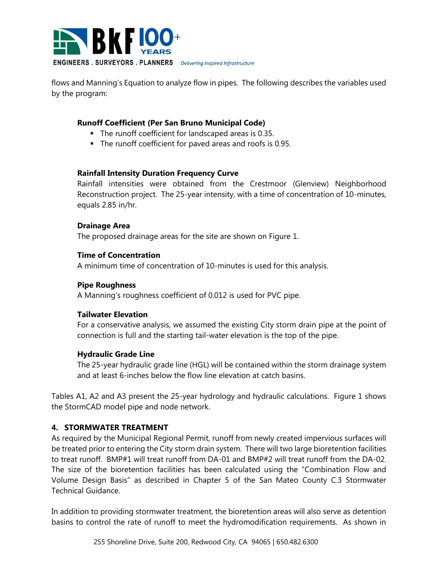

flows and Manning's Equation to analyze flow in pipes. The following describes the variables used by the program:

# **Runoff Coefficient (Per San Bruno Municipal Code)**

- The runoff coefficient for landscaped areas is 0.35.
- The runoff coefficient for paved areas and roofs is 0.95.

# **Rainfall Intensity Duration Frequency Curve**

Rainfall intensities were obtained from the Crestmoor (Glenview) Neighborhood Reconstruction project. The 25-year intensity, with a time of concentration of 10-minutes, equals 2.85 in/hr.

# **Drainage Area**

The proposed drainage areas for the site are shown on Figure 1.

# **Time of Concentration**

A minimum time of concentration of 10-minutes is used for this analysis.

# **Pipe Roughness**

A Manning's roughness coefficient of 0.012 is used for PVC pipe.

# **Tailwater Elevation**

For a conservative analysis, we assumed the existing City storm drain pipe at the point of connection is full and the starting tail-water elevation is the top of the pipe.

# **Hydraulic Grade Line**

The 25-year hydraulic grade line (HGL) will be contained within the storm drainage system and at least 6-inches below the flow line elevation at catch basins.

Tables A1, A2 and A3 present the 25-year hydrology and hydraulic calculations. Figure 1 shows the StormCAD model pipe and node network.

# **4. STORMWATER TREATMENT**

As required by the Municipal Regional Permit, runoff from newly created impervious surfaces will be treated prior to entering the City storm drain system. There will two large bioretention facilities to treat runoff. BMP#1 will treat runoff from DA-01 and BMP#2 will treat runoff from the DA-02. The size of the bioretention facilities has been calculated using the "Combination Flow and Volume Design Basis" as described in Chapter 5 of the San Mateo County C.3 Stormwater Technical Guidance.

In addition to providing stormwater treatment, the bioretention areas will also serve as detention basins to control the rate of runoff to meet the hydromodification requirements. As shown in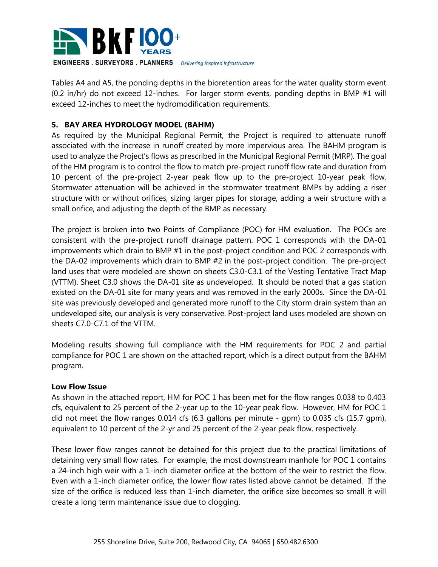

Tables A4 and A5, the ponding depths in the bioretention areas for the water quality storm event (0.2 in/hr) do not exceed 12-inches. For larger storm events, ponding depths in BMP #1 will exceed 12-inches to meet the hydromodification requirements.

# **5. BAY AREA HYDROLOGY MODEL (BAHM)**

As required by the Municipal Regional Permit, the Project is required to attenuate runoff associated with the increase in runoff created by more impervious area. The BAHM program is used to analyze the Project's flows as prescribed in the Municipal Regional Permit (MRP). The goal of the HM program is to control the flow to match pre-project runoff flow rate and duration from 10 percent of the pre-project 2-year peak flow up to the pre-project 10-year peak flow. Stormwater attenuation will be achieved in the stormwater treatment BMPs by adding a riser structure with or without orifices, sizing larger pipes for storage, adding a weir structure with a small orifice, and adjusting the depth of the BMP as necessary.

The project is broken into two Points of Compliance (POC) for HM evaluation. The POCs are consistent with the pre-project runoff drainage pattern. POC 1 corresponds with the DA-01 improvements which drain to BMP #1 in the post-project condition and POC 2 corresponds with the DA-02 improvements which drain to BMP #2 in the post-project condition. The pre-project land uses that were modeled are shown on sheets C3.0-C3.1 of the Vesting Tentative Tract Map (VTTM). Sheet C3.0 shows the DA-01 site as undeveloped. It should be noted that a gas station existed on the DA-01 site for many years and was removed in the early 2000s. Since the DA-01 site was previously developed and generated more runoff to the City storm drain system than an undeveloped site, our analysis is very conservative. Post-project land uses modeled are shown on sheets C7.0-C7.1 of the VTTM.

Modeling results showing full compliance with the HM requirements for POC 2 and partial compliance for POC 1 are shown on the attached report, which is a direct output from the BAHM program.

# **Low Flow Issue**

As shown in the attached report, HM for POC 1 has been met for the flow ranges 0.038 to 0.403 cfs, equivalent to 25 percent of the 2-year up to the 10-year peak flow. However, HM for POC 1 did not meet the flow ranges 0.014 cfs (6.3 gallons per minute - gpm) to 0.035 cfs (15.7 gpm), equivalent to 10 percent of the 2-yr and 25 percent of the 2-year peak flow, respectively.

These lower flow ranges cannot be detained for this project due to the practical limitations of detaining very small flow rates. For example, the most downstream manhole for POC 1 contains a 24-inch high weir with a 1-inch diameter orifice at the bottom of the weir to restrict the flow. Even with a 1-inch diameter orifice, the lower flow rates listed above cannot be detained. If the size of the orifice is reduced less than 1-inch diameter, the orifice size becomes so small it will create a long term maintenance issue due to clogging.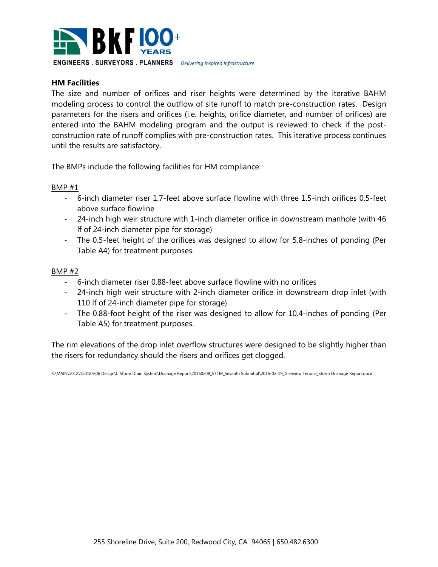

### **HM Facilities**

The size and number of orifices and riser heights were determined by the iterative BAHM modeling process to control the outflow of site runoff to match pre-construction rates. Design parameters for the risers and orifices (i.e. heights, orifice diameter, and number of orifices) are entered into the BAHM modeling program and the output is reviewed to check if the postconstruction rate of runoff complies with pre-construction rates. This iterative process continues until the results are satisfactory.

The BMPs include the following facilities for HM compliance:

#### BMP #1

- 6-inch diameter riser 1.7-feet above surface flowline with three 1.5-inch orifices 0.5-feet above surface flowline
- 24-inch high weir structure with 1-inch diameter orifice in downstream manhole (with 46 lf of 24-inch diameter pipe for storage)
- The 0.5-feet height of the orifices was designed to allow for 5.8-inches of ponding (Per Table A4) for treatment purposes.

#### BMP #2

- 6-inch diameter riser 0.88-feet above surface flowline with no orifices
- 24-inch high weir structure with 2-inch diameter orifice in downstream drop inlet (with 110 lf of 24-inch diameter pipe for storage)
- The 0.88-foot height of the riser was designed to allow for 10.4-inches of ponding (Per Table A5) for treatment purposes.

The rim elevations of the drop inlet overflow structures were designed to be slightly higher than the risers for redundancy should the risers and orifices get clogged.

K:\MAIN\2012\120185\06 Design\C Storm Drain System\Drainage Report\20160208\_VTTM\_Seventh Submittal\2016-02-19\_Glenview Terrace\_Storm Drainage Report.docx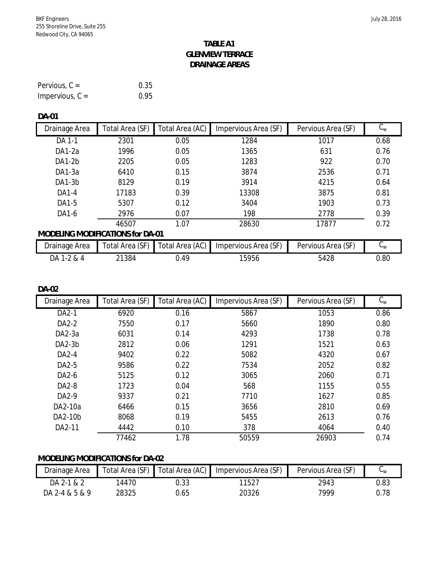# **TABLE A1 GLENVIEW TERRACE DRAINAGE AREAS**

| Pervious, $C =$   | 0.35 |
|-------------------|------|
| Impervious, $C =$ | 0.95 |

#### **DA-01**

| Drainage Area                    | Total Area (SF) | Total Area (AC) | Impervious Area (SF) | Pervious Area (SF) | $C_{W}$     |
|----------------------------------|-----------------|-----------------|----------------------|--------------------|-------------|
| DA 1-1                           | 2301            | 0.05            | 1284                 | 1017               | 0.68        |
| <b>DA1-2a</b>                    | 1996            | 0.05            | 1365                 | 631                | 0.76        |
| DA1-2b                           | 2205            | 0.05            | 1283                 | 922                | 0.70        |
| DA1-3a                           | 6410            | 0.15            | 3874                 | 2536               | 0.71        |
| DA1-3b                           | 8129            | 0.19            | 3914                 | 4215               | 0.64        |
| DA1-4                            | 17183           | 0.39            | 13308                | 3875               | 0.81        |
| DA1-5                            | 5307            | 0.12            | 3404                 | 1903               | 0.73        |
| DA1-6                            | 2976            | 0.07            | 198                  | 2778               | 0.39        |
|                                  | 46507           | 1.07            | 28630                | 17877              | 0.72        |
| MODELING MODIFICATIONS for DA-01 |                 |                 |                      |                    |             |
| Drainage Area                    | Total Area (SF) | Total Area (AC) | Impervious Area (SF) | Pervious Area (SF) | $C_{\rm w}$ |
| DA 1-2 & 4                       | 21384           | 0.49            | 15956                | 5428               | 0.80        |

#### **DA-02**

| Drainage Area | Total Area (SF) | Total Area (AC) | Impervious Area (SF) | Pervious Area (SF) | $C_{w}$ |
|---------------|-----------------|-----------------|----------------------|--------------------|---------|
| DA2-1         | 6920            | 0.16            | 5867                 | 1053               | 0.86    |
| DA2-2         | 7550            | 0.17            | 5660                 | 1890               | 0.80    |
| DA2-3a        | 6031            | 0.14            | 4293                 | 1738               | 0.78    |
| $DA2-3b$      | 2812            | 0.06            | 1291                 | 1521               | 0.63    |
| DA2-4         | 9402            | 0.22            | 5082                 | 4320               | 0.67    |
| DA2-5         | 9586            | 0.22            | 7534                 | 2052               | 0.82    |
| DA2-6         | 5125            | 0.12            | 3065                 | 2060               | 0.71    |
| DA2-8         | 1723            | 0.04            | 568                  | 1155               | 0.55    |
| DA2-9         | 9337            | 0.21            | 7710                 | 1627               | 0.85    |
| DA2-10a       | 6466            | 0.15            | 3656                 | 2810               | 0.69    |
| DA2-10b       | 8068            | 0.19            | 5455                 | 2613               | 0.76    |
| DA2-11        | 4442            | 0.10            | 378                  | 4064               | 0.40    |
|               | 77462           | 1.78            | 50559                | 26903              | 0.74    |

# **MODELING MODIFICATIONS for DA-02**

| Drainage Area  |       |      | Total Area (SF) Total Area (AC) Impervious Area (SF) | Pervious Area (SF) | ◡៶៱៲ |
|----------------|-------|------|------------------------------------------------------|--------------------|------|
| DA 2-1 & 2     | 4470  | J.33 | 11527                                                | 2943               | 0.83 |
| DA 2-4 & 5 & 9 | 28325 | ).65 | 20326                                                | 7999               | ງ.78 |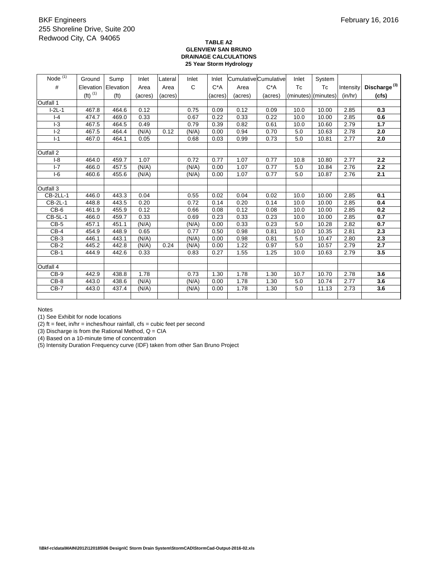#### **TABLE A2 GLENVIEW SAN BRUNO DRAINAGE CALCULATIONS 25 Year Storm Hydrology**

| Node $\overline{^{(1)}}$ | Ground                | Sump              | Inlet   | Lateral | Inlet | Inlet   |         | Cumulative Cumulative | Inlet | System              |           |                          |
|--------------------------|-----------------------|-------------------|---------|---------|-------|---------|---------|-----------------------|-------|---------------------|-----------|--------------------------|
| $\#$                     | Elevation             | Elevation         | Area    | Area    | C     | $C^*A$  | Area    | $C^*A$                | Tc    | Tc                  | Intensity | Discharge <sup>(3)</sup> |
|                          | $(ft)$ <sup>(1)</sup> | (f <sup>t</sup> ) | (acres) | (acres) |       | (acres) | (acres) | (acres)               |       | (minutes) (minutes) | (in/hr)   | (cfs)                    |
| Outfall 1                |                       |                   |         |         |       |         |         |                       |       |                     |           |                          |
| $I-2L-1$                 | 467.8                 | 464.6             | 0.12    |         | 0.75  | 0.09    | 0.12    | 0.09                  | 10.0  | 10.00               | 2.85      | 0.3                      |
| $I - 4$                  | 474.7                 | 469.0             | 0.33    |         | 0.67  | 0.22    | 0.33    | 0.22                  | 10.0  | 10.00               | 2.85      | 0.6                      |
| $-3$                     | 467.5                 | 464.5             | 0.49    |         | 0.79  | 0.39    | 0.82    | 0.61                  | 10.0  | 10.60               | 2.79      | 1.7                      |
| $I-2$                    | 467.5                 | 464.4             | (N/A)   | 0.12    | (N/A) | 0.00    | 0.94    | 0.70                  | 5.0   | 10.63               | 2.78      | 2.0                      |
| $I-1$                    | 467.0                 | 464.1             | 0.05    |         | 0.68  | 0.03    | 0.99    | 0.73                  | 5.0   | 10.81               | 2.77      | 2.0                      |
|                          |                       |                   |         |         |       |         |         |                       |       |                     |           |                          |
| Outfall 2                |                       |                   |         |         |       |         |         |                       |       |                     |           |                          |
| $I-8$                    | 464.0                 | 459.7             | 1.07    |         | 0.72  | 0.77    | 1.07    | 0.77                  | 10.8  | 10.80               | 2.77      | 2.2                      |
| $I - 7$                  | 466.0                 | 457.5             | (N/A)   |         | (N/A) | 0.00    | 1.07    | 0.77                  | 5.0   | 10.84               | 2.76      | 2.2                      |
| $I-6$                    | 460.6                 | 455.6             | (N/A)   |         | (N/A) | 0.00    | 1.07    | 0.77                  | 5.0   | 10.87               | 2.76      | 2.1                      |
|                          |                       |                   |         |         |       |         |         |                       |       |                     |           |                          |
| Outfall 3                |                       |                   |         |         |       |         |         |                       |       |                     |           |                          |
| CB-2LL-1                 | 446.0                 | 443.3             | 0.04    |         | 0.55  | 0.02    | 0.04    | 0.02                  | 10.0  | 10.00               | 2.85      | 0.1                      |
| CB-2L-1                  | 448.8                 | 443.5             | 0.20    |         | 0.72  | 0.14    | 0.20    | 0.14                  | 10.0  | 10.00               | 2.85      | 0.4                      |
| $CB-6$                   | 461.9                 | 455.9             | 0.12    |         | 0.66  | 0.08    | 0.12    | 0.08                  | 10.0  | 10.00               | 2.85      | 0.2                      |
| <b>CB-5L-1</b>           | 466.0                 | 459.7             | 0.33    |         | 0.69  | 0.23    | 0.33    | 0.23                  | 10.0  | 10.00               | 2.85      | 0.7                      |
| $CB-5$                   | 457.1                 | 451.1             | (N/A)   |         | (N/A) | 0.00    | 0.33    | 0.23                  | 5.0   | 10.28               | 2.82      | 0.7                      |
| $CB-4$                   | 454.9                 | 448.9             | 0.65    |         | 0.77  | 0.50    | 0.98    | 0.81                  | 10.0  | 10.35               | 2.81      | 2.3                      |
| $CB-3$                   | 446.1                 | 443.1             | (N/A)   |         | (N/A) | 0.00    | 0.98    | 0.81                  | 5.0   | 10.47               | 2.80      | 2.3                      |
| $CB-2$                   | 445.2                 | 442.8             | (N/A)   | 0.24    | (N/A) | 0.00    | 1.22    | 0.97                  | 5.0   | 10.57               | 2.79      | 2.7                      |
| $CB-1$                   | 444.9                 | 442.6             | 0.33    |         | 0.83  | 0.27    | 1.55    | 1.25                  | 10.0  | 10.63               | 2.79      | 3.5                      |
|                          |                       |                   |         |         |       |         |         |                       |       |                     |           |                          |
| Outfall 4                |                       |                   |         |         |       |         |         |                       |       |                     |           |                          |
| $CB-9$                   | 442.9                 | 438.8             | 1.78    |         | 0.73  | 1.30    | 1.78    | 1.30                  | 10.7  | 10.70               | 2.78      | 3.6                      |
| $CB-8$                   | 443.0                 | 438.6             | (N/A)   |         | (N/A) | 0.00    | 1.78    | 1.30                  | 5.0   | 10.74               | 2.77      | 3.6                      |
| $CB-7$                   | 443.0                 | 437.4             | (N/A)   |         | (N/A) | 0.00    | 1.78    | 1.30                  | 5.0   | 11.13               | 2.73      | 3.6                      |
|                          |                       |                   |         |         |       |         |         |                       |       |                     |           |                          |
|                          |                       |                   |         |         |       |         |         |                       |       |                     |           |                          |

Notes

(1) See Exhibit for node locations

 $(2)$  ft = feet, in/hr = inches/hour rainfall, cfs = cubic feet per second

(3) Discharge is from the Rational Method,  $Q = CIA$ 

(4) Based on a 10-minute time of concentration

(5) Intensity Duration Frequency curve (IDF) taken from other San Bruno Project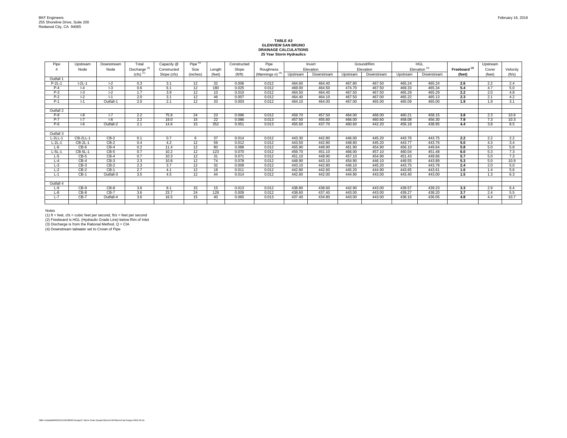#### February 16, 2016

# **TABLE A3 GLENVIEW SAN BRUNO DRAINAGE CALCULATIONS 25 Year Storm Hydraulics**

| Pipe      | Upstream | Downstream        | Total                               | Capacity @  | Pipe $(5)$ |        | Constructed | Pipe                        |          | Invert     |          | Ground/Rim |          | HGL             |                          | Upstream |                |
|-----------|----------|-------------------|-------------------------------------|-------------|------------|--------|-------------|-----------------------------|----------|------------|----------|------------|----------|-----------------|--------------------------|----------|----------------|
|           | Node     | Node              | Discharge <sup>(3)</sup>            | Constructed | Size       | Lenath | Slope       | Roughness                   |          | Elevation  |          | Elevation  |          | Elevation $(4)$ | Freeboard <sup>(2)</sup> | Cover    | Velocity       |
|           |          |                   | $(cfs)$ <sup><math>(1)</math></sup> | Slope (cfs) | (inches)   | (feet) | (ft/ft)     | (Mannings n) <sup>(A)</sup> | Upstream | Downstream | Upstream | Downstream | Upstream | Downstream      | (feet)                   | (feet)   | $({\rm ft/s})$ |
| Outfall 1 |          |                   |                                     |             |            |        |             |                             |          |            |          |            |          |                 |                          |          |                |
| $P-2L-1$  | $I-2L-1$ | $I-2$             | 0.3                                 | 3.1         | 12         | 32     | 0.006       | 0.012                       | 464.60   | 464.40     | 467.80   | 467.50     | 465.24   | 465.24          | 2.6                      | 2.2      | 2.4            |
| $P-4$     | $ -4$    | $I-3$             | 0.6                                 | 6.1         | 12         | 180    | 0.025       | 0.012                       | 469.00   | 464.50     | 474.70   | 467.50     | 469.33   | 465.34          | 5.4                      | 4.7      | 5.0            |
| $P-3$     | $ -3$    | $\overline{1}$ -2 | 1.7                                 | 3.9         | 12         | 10     | 0.010       | 0.012                       | 464.50   | 464.40     | 467.50   | 467.50     | 465.29   | 465.29          | 2.2                      | 2.0      | 4.8            |
| $P-2$     | $-2$     | $I-1$             | 2.0                                 | 3.1         | 12         | 46     | 0.007       | 0.012                       | 464.40   | 464.10     | 467.50   | 467.00     | 465.22   | 465.13          | 2.3                      | 2.1      | 4.2            |
| $P-1$     | $I-1$    | Outfall-1         | 2.0                                 | 2.1         | 12         | 33     | 0.003       | 0.012                       | 464.10   | 464.00     | 467.00   | 465.00     | 465.09   | 465.00          | 1.9                      | 1.9      | 3.1            |
|           |          |                   |                                     |             |            |        |             |                             |          |            |          |            |          |                 |                          |          |                |
| Outfall 2 |          |                   |                                     |             |            |        |             |                             |          |            |          |            |          |                 |                          |          |                |
| $P-8$     | $ -8$    | $I - 7$           | 2.2                                 | 75.8        | 24         | 23     | 0.096       | 0.012                       | 459.70   | 457.50     | 464.00   | 466.00     | 460.21   | 458.15          | 3.8                      | 2.3      | 10.6           |
| $P-7$     | $I - 7$  | $I-6$             | 2.2                                 | 19.0        | 15         | 22     | 0.086       | 0.013                       | 457.50   | 455.60     | 466.00   | 460.60     | 458.08   | 456.30          | 7.9                      | 7.3      | 10.3           |
| $P-6$     | $-6$     | Outfall-2         | 2.1                                 | 14.6        | 15         | 352    | 0.051       | 0.013                       | 455.60   | 437.70     | 460.60   | 442.20     | 456.18   | 438.95          | 4.4                      | 3.8      | 8.5            |
|           |          |                   |                                     |             |            |        |             |                             |          |            |          |            |          |                 |                          |          |                |
| Outfall 3 |          |                   |                                     |             |            |        |             |                             |          |            |          |            |          |                 |                          |          |                |
| $L-2LL-1$ | CB-2LL-1 | $CB-2$            | 0.1                                 | 0.7         | 6          | 37     | 0.014       | 0.012                       | 443.30   | 442.80     | 446.00   | 445.20     | 443.76   | 443.75          | 2.2                      | 2.2      | 2.2            |
| $L-2L-1$  | CB-2L-1  | $CB-2$            | 0.4                                 | 4.2         | 12         | 59     | 0.012       | 0.012                       | 443.50   | 442.80     | 448.80   | 445.20     | 443.77   | 443.76          | 5.0                      | 4.3      | 3.4            |
| $L-6$     | $CB-6$   | $CB-4$            | 0.2                                 | 11.4        | 12         | 80     | 0.088       | 0.012                       | 455.90   | 448.90     | 461.90   | 454.90     | 456.10   | 449.64          | 5.8                      | 5.0      | 5.8            |
| $L-5L-1$  | CB-5L-1  | $CB-5$            | 0.7                                 | 10.2        | 12         | 123    | 0.070       | 0.012                       | 459.70   | 451.10     | 466.00   | 457.10     | 460.04   | 451.48          | 6.0                      | 5.3      | 7.3            |
| $L-5$     | $CB-5$   | $CB-4$            | 0.7                                 | 10.3        | 12         | 31     | 0.071       | 0.012                       | 451.10   | 448.90     | 457.10   | 454.90     | 451.43   | 449.66          | 5.7                      | 5.0      | 7.3            |
| $L - 4$   | $CB-4$   | $CB-3$            | 2.3                                 | 10.8        | 12         | 74     | 0.078       | 0.012                       | 448.90   | 443.10     | 454.90   | 446.10     | 449.55   | 443.89          | 5.3                      | 5.0      | 10.9           |
| $L-3$     | $CB-3$   | $CB-2$            | 2.3                                 | 3.7         | 12         | 32     | 0.009       | 0.012                       | 443.10   | 442.80     | 446.10   | 445.20     | 443.75   | 443.78          | 2.4                      | 2.0      | 5.0            |
| $L-2$     | $CB-2$   | $CB-1$            | 2.7                                 | 4.1         | 12         | 18     | 0.011       | 0.012                       | 442.80   | 442.60     | 445.20   | 444.90     | 443.65   | 443.61          | 1.6                      | 1.4      | 5.6            |
| $L-1$     | $CB-1$   | Outfall-3         | 3.5                                 | 4.5         | 12         | 44     | 0.014       | 0.012                       | 442.60   | 442.00     | 444.90   | 443.00     | 443.40   | 443.00          | 1.5                      | 1.3      | 6.3            |
|           |          |                   |                                     |             |            |        |             |                             |          |            |          |            |          |                 |                          |          |                |
| Outfall 4 |          |                   |                                     |             |            |        |             |                             |          |            |          |            |          |                 |                          |          |                |
| $L-9$     | $CB-9$   | $CB-8$            | 3.6                                 | 8.1         | 15         | 15     | 0.013       | 0.012                       | 438.80   | 438.60     | 442.90   | 443.00     | 439.57   | 439.23          | 3.3                      | 2.9      | 6.4            |
| $L-8$     | $CB-8$   | $CB-7$            | 3.6                                 | 23.7        | 24         | 128    | 0.009       | 0.012                       | 438.60   | 437.40     | 443.00   | 443.00     | 439.27   | 438.20          | 3.7                      | 2.4      | 5.5            |
| $L - 7$   | $CB-7$   | Outfall-4         | 3.6                                 | 16.5        | 15         | 40     | 0.065       | 0.013                       | 437.40   | 434.80     | 443.00   | 443.00     | 438.16   | 436.05          | 4.8                      | 4.4      | 10.7           |
|           |          |                   |                                     |             |            |        |             |                             |          |            |          |            |          |                 |                          |          |                |

Notes<br>(1) ft = feet, cfs = cubic feet per second, ft/s = feet per second<br>(2) Freeboard is HGL (Hydraulic Grade Line) below Rim of Inlet<br>(3) Discharge is from the Rational Method, Q = CIA<br>(4) Downstream tailwater set to Cro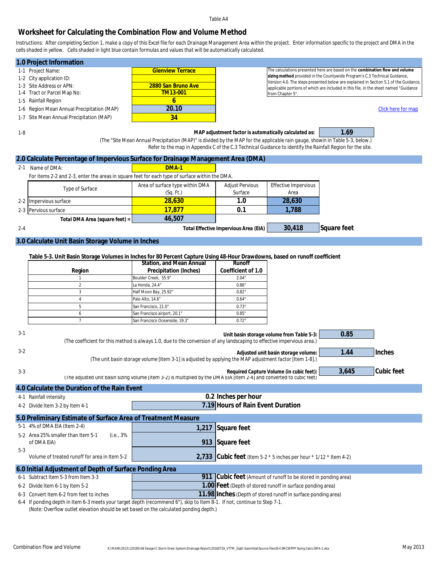### **Worksheet for Calculating the Combination Flow and Volume Method**

*Instructions: After completing Section 1, make a copy of this Excel file for each Drainage Management Area within the project. Enter information specific to the project and DMA in the cells shaded in yellow. Cells shaded in light blue contain formulas and values that will be automatically calculated.*

| 1.0 Project Information                    |                                                               |                                                                                                                                                                    |  |  |  |
|--------------------------------------------|---------------------------------------------------------------|--------------------------------------------------------------------------------------------------------------------------------------------------------------------|--|--|--|
| 1-1 Project Name:                          | <b>Glenview Terrace</b>                                       | The calculations presented here are based on the combination flow and volume                                                                                       |  |  |  |
| 1-2 City application ID:                   |                                                               | sizing method provided in the Countywide Program's C.3 Technical Guidance,<br>Version 4.0. The steps presented below are explained in Section 5.1 of the Guidance, |  |  |  |
| 1-3 Site Address or APN:                   | 2880 San Bruno Ave                                            | applicable portions of which are included in this file, in the sheet named "Guidance                                                                               |  |  |  |
| 1-4 Tract or Parcel Map No:                | TM13-001                                                      | from Chapter 5".                                                                                                                                                   |  |  |  |
| 1-5 Rainfall Region                        |                                                               |                                                                                                                                                                    |  |  |  |
| 1-6 Region Mean Annual Precipitation (MAP) | 20.10                                                         | Click here for map                                                                                                                                                 |  |  |  |
| 1-7 Site Mean Annual Precipitation (MAP)   | 34                                                            |                                                                                                                                                                    |  |  |  |
|                                            |                                                               |                                                                                                                                                                    |  |  |  |
| $1-8$                                      | MAP adjustment factor is automatically calculated as:<br>1.69 |                                                                                                                                                                    |  |  |  |

 $\mathcal{L}(\mathcal{A})$  *(The "Site Mean Annual Precipitation (MAP)" is divided by the MAP for the applicable rain gauge, showin in Table 5-3, below.) Refer to the map in Appendix C of the C.3 Technical Guidance to identify the Rainfall Region for the site.*

|         | 2.0 Calculate Percentage of Impervious Surface for Drainage Management Area (DMA)              |                                 |                                       |                      |             |  |  |
|---------|------------------------------------------------------------------------------------------------|---------------------------------|---------------------------------------|----------------------|-------------|--|--|
| $2 - 1$ | Name of DMA:                                                                                   | $DMA-1$                         |                                       |                      |             |  |  |
|         | For items 2-2 and 2-3, enter the areas in square feet for each type of surface within the DMA. |                                 |                                       |                      |             |  |  |
|         | Type of Surface                                                                                | Area of surface type within DMA | <b>Adjust Pervious</b>                | Effective Impervious |             |  |  |
|         |                                                                                                | (Sq. Ft.)                       | Surface                               | Area                 |             |  |  |
|         | 2-2 Impervious surface                                                                         | 28,630                          | 1.0                                   | 28,630               |             |  |  |
|         | 2-3 Pervious surface                                                                           | 17.877                          | 0.1                                   | 1,788                |             |  |  |
|         | Total DMA Area (square feet) = $\vert$                                                         | 46,507                          |                                       |                      |             |  |  |
| $2 - 4$ |                                                                                                |                                 | Total Effective Impervious Area (EIA) | 30,418               | Square feet |  |  |
|         |                                                                                                |                                 |                                       |                      |             |  |  |

#### **3.0 Calculate Unit Basin Storage Volume in Inches**

**Table 5-3. Unit Basin Storage Volumes in Inches for 80 Percent Capture Using 48-Hour Drawdowns, based on runoff coefficient**

|        | Station, and Mean Annual       | Runoff             |
|--------|--------------------------------|--------------------|
| Region | Precipitation (Inches)         | Coefficient of 1.0 |
|        | Boulder Creek, 55.9"           | 2.04"              |
|        | La Honda, 24.4"                | 0.86"              |
|        | Half Moon Bay, 25.92"          | 0.82"              |
|        | Palo Alto, 14.6"               | 0.64"              |
|        | San Francisco, 21.0"           | 0.73"              |
|        | San Francisco airport, 20.1"   | 0.85"              |
|        | San Francisco Oceanside, 19.3" | 0.72"              |

| $3-1$                                                                                                                                                                                                              | 0.85<br>Unit basin storage volume from Table 5-3:<br>(The coefficient for this method is always 1.0, due to the conversion of any landscaping to effective impervious area.) |                                                                                                                                                                    |       |            |  |  |  |  |  |
|--------------------------------------------------------------------------------------------------------------------------------------------------------------------------------------------------------------------|------------------------------------------------------------------------------------------------------------------------------------------------------------------------------|--------------------------------------------------------------------------------------------------------------------------------------------------------------------|-------|------------|--|--|--|--|--|
| $3-2$                                                                                                                                                                                                              | Inches<br>1.44<br>Adjusted unit basin storage volume:<br>(The unit basin storage volume [Item 3-1] is adjusted by applying the MAP adjustment factor [Item 1-8].)            |                                                                                                                                                                    |       |            |  |  |  |  |  |
| $3 - 3$                                                                                                                                                                                                            |                                                                                                                                                                              | Required Capture Volume (in cubic feet):<br>(The adjusted unit basin sizing volume [Item 3-2] is multiplied by the DMA EIA [Item 2-4] and converted to cubic feet) | 3,645 | Cubic feet |  |  |  |  |  |
| 4.0 Calculate the Duration of the Rain Event                                                                                                                                                                       |                                                                                                                                                                              |                                                                                                                                                                    |       |            |  |  |  |  |  |
| 4-1 Rainfall intensity                                                                                                                                                                                             |                                                                                                                                                                              | 0.2 Inches per hour                                                                                                                                                |       |            |  |  |  |  |  |
| 4-2 Divide Item 3-2 by Item 4-1                                                                                                                                                                                    |                                                                                                                                                                              | 7.19 Hours of Rain Event Duration                                                                                                                                  |       |            |  |  |  |  |  |
|                                                                                                                                                                                                                    | 5.0 Preliminary Estimate of Surface Area of Treatment Measure                                                                                                                |                                                                                                                                                                    |       |            |  |  |  |  |  |
| 5-1 4% of DMA EIA (Item 2-4)                                                                                                                                                                                       | 1,217                                                                                                                                                                        | Square feet                                                                                                                                                        |       |            |  |  |  |  |  |
| 5-2 Area 25% smaller than Item 5-1<br>(i.e., 3%<br>of DMA EIA)                                                                                                                                                     | 913                                                                                                                                                                          | Square feet                                                                                                                                                        |       |            |  |  |  |  |  |
| $5 - 3$<br>Volume of treated runoff for area in Item 5-2                                                                                                                                                           |                                                                                                                                                                              | 2,733 Cubic feet (Item 5-2 $*$ 5 inches per hour $*$ 1/12 $*$ Item 4-2)                                                                                            |       |            |  |  |  |  |  |
| 6.0 Initial Adjustment of Depth of Surface Ponding Area                                                                                                                                                            |                                                                                                                                                                              |                                                                                                                                                                    |       |            |  |  |  |  |  |
| Subtract Item 5-3 from Item 3-3<br>$6 - 1$                                                                                                                                                                         |                                                                                                                                                                              | 911 Cubic feet (Amount of runoff to be stored in ponding area)                                                                                                     |       |            |  |  |  |  |  |
| 6-2 Divide Item 6-1 by Item 5-2                                                                                                                                                                                    |                                                                                                                                                                              | 1.00 Feet (Depth of stored runoff in surface ponding area)                                                                                                         |       |            |  |  |  |  |  |
| 11.98 Inches (Depth of stored runoff in surface ponding area)<br>6-3 Convert Item 6-2 from feet to inches                                                                                                          |                                                                                                                                                                              |                                                                                                                                                                    |       |            |  |  |  |  |  |
| 6-4 If ponding depth in Item 6-3 meets your target depth (recommend 6"), skip to Item 8-1. If not, continue to Step 7-1.<br>(Note: Overflow outlet elevation should be set based on the calculated ponding depth.) |                                                                                                                                                                              |                                                                                                                                                                    |       |            |  |  |  |  |  |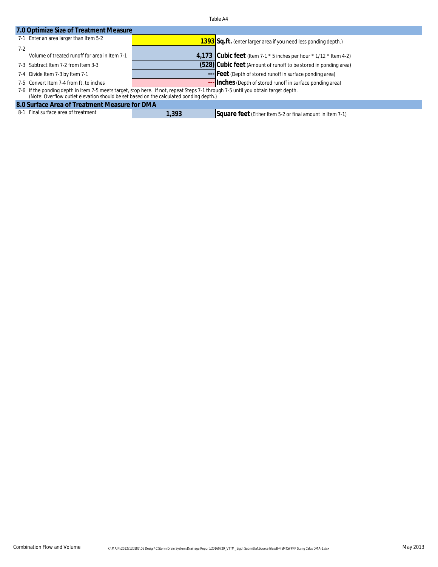| 7.0 Optimize Size of Treatment Measure        |                                                                                                                                                                                                                             |                                                                         |  |  |  |  |  |
|-----------------------------------------------|-----------------------------------------------------------------------------------------------------------------------------------------------------------------------------------------------------------------------------|-------------------------------------------------------------------------|--|--|--|--|--|
| 7-1 Enter an area larger than Item 5-2        |                                                                                                                                                                                                                             | 1393 Sq.ft. (enter larger area if you need less ponding depth.)         |  |  |  |  |  |
| $7-2$                                         |                                                                                                                                                                                                                             |                                                                         |  |  |  |  |  |
| Volume of treated runoff for area in Item 7-1 |                                                                                                                                                                                                                             | 4,173 Cubic feet (Item 7-1 $*$ 5 inches per hour $*$ 1/12 $*$ Item 4-2) |  |  |  |  |  |
| 7-3 Subtract Item 7-2 from Item 3-3           |                                                                                                                                                                                                                             | (528) Cubic feet (Amount of runoff to be stored in ponding area)        |  |  |  |  |  |
| 7-4 Divide Item 7-3 by Item 7-1               |                                                                                                                                                                                                                             | --- Feet (Depth of stored runoff in surface ponding area)               |  |  |  |  |  |
| 7-5 Convert Item 7-4 from ft. to inches       |                                                                                                                                                                                                                             | --- Inches (Depth of stored runoff in surface ponding area)             |  |  |  |  |  |
|                                               | 7-6 If the ponding depth in Item 7-5 meets target, stop here. If not, repeat Steps 7-1 through 7-5 until you obtain target depth.<br>(Note: Overflow outlet elevation should be set based on the calculated ponding depth.) |                                                                         |  |  |  |  |  |
| 8.0 Surface Area of Treatment Measure for DMA |                                                                                                                                                                                                                             |                                                                         |  |  |  |  |  |
| 8-1 Final surface area of treatment           | 1,393                                                                                                                                                                                                                       | Square feet (Either Item 5-2 or final amount in Item 7-1)               |  |  |  |  |  |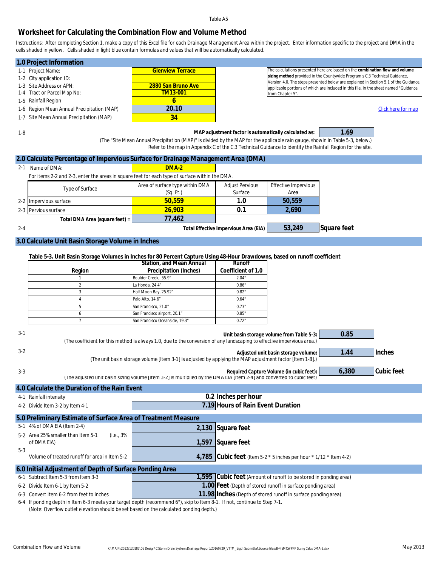#### **Worksheet for Calculating the Combination Flow and Volume Method**

*Instructions: After completing Section 1, make a copy of this Excel file for each Drainage Management Area within the project. Enter information specific to the project and DMA in the cells shaded in yellow. Cells shaded in light blue contain formulas and values that will be automatically calculated.*

| 1.0 Project Information                         |                         |                                                                                                                                                                    |
|-------------------------------------------------|-------------------------|--------------------------------------------------------------------------------------------------------------------------------------------------------------------|
| 1-1 Project Name:                               | <b>Glenview Terrace</b> | The calculations presented here are based on the combination flow and volume                                                                                       |
| 1-2 City application ID:                        |                         | sizing method provided in the Countywide Program's C.3 Technical Guidance,<br>Version 4.0. The steps presented below are explained in Section 5.1 of the Guidance, |
| 1-3 Site Address or APN:                        | 2880 San Bruno Ave      | applicable portions of which are included in this file, in the sheet named "Guidance                                                                               |
| 1-4 Tract or Parcel Map No:                     | TM13-001                | from Chapter 5".                                                                                                                                                   |
| 1-5 Rainfall Region                             |                         |                                                                                                                                                                    |
| 1-6 Region Mean Annual Precipitation (MAP)      | 20.10                   | Click here for map                                                                                                                                                 |
| Site Mean Annual Precipitation (MAP)<br>$1 - 7$ | 34                      |                                                                                                                                                                    |
| 1-8                                             |                         | 1.69<br>MAP adjustment factor is automatically calculated as:                                                                                                      |

 *(The "Site Mean Annual Precipitation (MAP)" is divided by the MAP for the applicable rain gauge, showin in Table 5-3, below.) Refer to the map in Appendix C of the C.3 Technical Guidance to identify the Rainfall Region for the site.*

|         | 2.0 Calculate Percentage of Impervious Surface for Drainage Management Area (DMA)              |                                              |                                       |                              |             |  |  |  |
|---------|------------------------------------------------------------------------------------------------|----------------------------------------------|---------------------------------------|------------------------------|-------------|--|--|--|
| $2 - 1$ | Name of DMA:                                                                                   | $DMA-2$                                      |                                       |                              |             |  |  |  |
|         | For items 2-2 and 2-3, enter the areas in square feet for each type of surface within the DMA. |                                              |                                       |                              |             |  |  |  |
|         | Type of Surface                                                                                | Area of surface type within DMA<br>(Sq. Ft.) | <b>Adjust Pervious</b><br>Surface     | Effective Impervious<br>Area |             |  |  |  |
|         | 2-2 Impervious surface                                                                         | 50.559                                       | 1.0                                   | 50.559                       |             |  |  |  |
| $2-3$ F | Pervious surface                                                                               | 26,903                                       | 0.1                                   | 2.690                        |             |  |  |  |
|         | Total DMA Area (square feet) = $\vert$                                                         | 77,462                                       |                                       |                              |             |  |  |  |
| $2 - 4$ |                                                                                                |                                              | Total Effective Impervious Area (EIA) | 53,249                       | Square feet |  |  |  |

#### **3.0 Calculate Unit Basin Storage Volume in Inches**

**Table 5-3. Unit Basin Storage Volumes in Inches for 80 Percent Capture Using 48-Hour Drawdowns, based on runoff coefficient**

|        | Station, and Mean Annual       | Runoff             |
|--------|--------------------------------|--------------------|
| Region | Precipitation (Inches)         | Coefficient of 1.0 |
|        | Boulder Creek, 55.9"           | 2.04"              |
|        | La Honda, 24.4"                | 0.86"              |
|        | Half Moon Bay, 25.92"          | 0.82"              |
|        | Palo Alto, 14.6"               | 0.64"              |
|        | San Francisco, 21.0"           | 0.73"              |
|        | San Francisco airport, 20.1"   | 0.85"              |
|        | San Francisco Oceanside, 19.3" | 0.72"              |

| $3 - 1$ |                                                                                                                                                                                                                    |       | Unit basin storage volume from Table 5-3:<br>(The coefficient for this method is always 1.0, due to the conversion of any landscaping to effective impervious area.) | 0.85  |            |  |  |
|---------|--------------------------------------------------------------------------------------------------------------------------------------------------------------------------------------------------------------------|-------|----------------------------------------------------------------------------------------------------------------------------------------------------------------------|-------|------------|--|--|
| $3 - 2$ |                                                                                                                                                                                                                    |       | Adjusted unit basin storage volume:<br>(The unit basin storage volume [Item 3-1] is adjusted by applying the MAP adjustment factor [Item 1-8].)                      | 1.44  | Inches     |  |  |
| $3 - 3$ |                                                                                                                                                                                                                    |       | Required Capture Volume (in cubic feet):<br>(The adjusted unit basin sizing volume [Item 3-2] is multiplied by the DMA EIA [Item 2-4] and converted to cubic feet)   | 6,380 | Cubic feet |  |  |
|         | 4.0 Calculate the Duration of the Rain Event                                                                                                                                                                       |       |                                                                                                                                                                      |       |            |  |  |
|         | 4-1 Rainfall intensity                                                                                                                                                                                             |       | 0.2 Inches per hour                                                                                                                                                  |       |            |  |  |
|         | 4-2 Divide Item 3-2 by Item 4-1                                                                                                                                                                                    |       | 7.19 Hours of Rain Event Duration                                                                                                                                    |       |            |  |  |
|         | 5.0 Preliminary Estimate of Surface Area of Treatment Measure                                                                                                                                                      |       |                                                                                                                                                                      |       |            |  |  |
|         | 5-1 4% of DMA EIA (Item 2-4)                                                                                                                                                                                       | 2,130 | Square feet                                                                                                                                                          |       |            |  |  |
|         | 5-2 Area 25% smaller than Item 5-1<br>(i.e., 3%<br>of DMA EIA)                                                                                                                                                     | 1,597 | Square feet                                                                                                                                                          |       |            |  |  |
| $5-3$   | Volume of treated runoff for area in Item 5-2                                                                                                                                                                      |       | 4,785 Cubic feet (Item 5-2 $*$ 5 inches per hour $*$ 1/12 $*$ Item 4-2)                                                                                              |       |            |  |  |
|         | 6.0 Initial Adjustment of Depth of Surface Ponding Area                                                                                                                                                            |       |                                                                                                                                                                      |       |            |  |  |
| $6 - 1$ | Subtract Item 5-3 from Item 3-3                                                                                                                                                                                    |       | 1,595 Cubic feet (Amount of runoff to be stored in ponding area)                                                                                                     |       |            |  |  |
|         | 6-2 Divide Item 6-1 by Item 5-2                                                                                                                                                                                    |       | 1.00 Feet (Depth of stored runoff in surface ponding area)                                                                                                           |       |            |  |  |
|         | 6-3 Convert Item 6-2 from feet to inches                                                                                                                                                                           |       | 11.98 Inches (Depth of stored runoff in surface ponding area)                                                                                                        |       |            |  |  |
|         | 6-4 If ponding depth in Item 6-3 meets your target depth (recommend 6"), skip to Item 8-1. If not, continue to Step 7-1.<br>(Note: Overflow outlet elevation should be set based on the calculated ponding depth.) |       |                                                                                                                                                                      |       |            |  |  |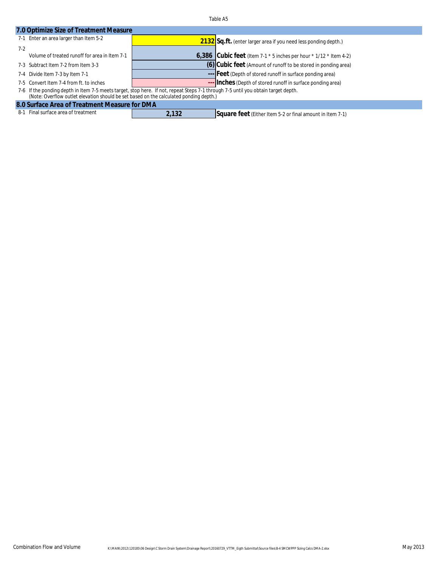| 7.0 Optimize Size of Treatment Measure                                                                                                                                                                                      |       |                                                                           |  |  |  |
|-----------------------------------------------------------------------------------------------------------------------------------------------------------------------------------------------------------------------------|-------|---------------------------------------------------------------------------|--|--|--|
| 7-1 Enter an area larger than Item 5-2                                                                                                                                                                                      |       | 2132 Sq.ft. (enter larger area if you need less ponding depth.)           |  |  |  |
| $7-2$                                                                                                                                                                                                                       |       |                                                                           |  |  |  |
| Volume of treated runoff for area in Item 7-1                                                                                                                                                                               |       | $6,386$ Cubic feet (Item 7-1 $*$ 5 inches per hour $*$ 1/12 $*$ Item 4-2) |  |  |  |
| 7-3 Subtract Item 7-2 from Item 3-3                                                                                                                                                                                         |       | (6) Cubic feet (Amount of runoff to be stored in ponding area)            |  |  |  |
| 7-4 Divide Item 7-3 by Item 7-1                                                                                                                                                                                             |       | --- Feet (Depth of stored runoff in surface ponding area)                 |  |  |  |
| 7-5 Convert Item 7-4 from ft. to inches                                                                                                                                                                                     |       | --- Inches (Depth of stored runoff in surface ponding area)               |  |  |  |
| 7-6 If the ponding depth in Item 7-5 meets target, stop here. If not, repeat Steps 7-1 through 7-5 until you obtain target depth.<br>(Note: Overflow outlet elevation should be set based on the calculated ponding depth.) |       |                                                                           |  |  |  |
| 8.0 Surface Area of Treatment Measure for DMA                                                                                                                                                                               |       |                                                                           |  |  |  |
| 8-1 Final surface area of treatment                                                                                                                                                                                         | 2.132 | Square feet (Either Item 5-2 or final amount in Item 7-1)                 |  |  |  |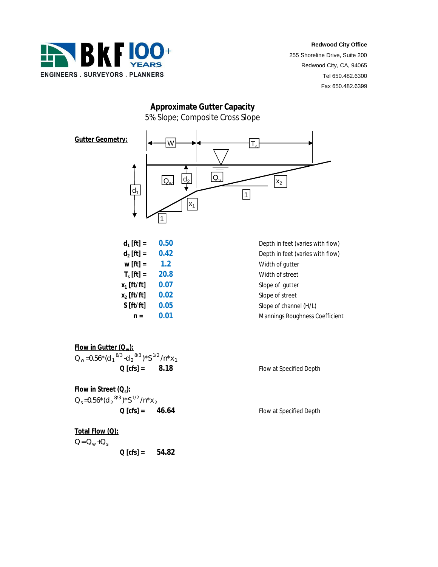

255 Shoreline Drive, Suite 200 Redwood City, CA, 94065 Tel 650.482.6300 Fax 650.482.6399

# **Approximate Gutter Capacity** 5% Slope; Composite Cross Slope



| 0.50 |
|------|
| 0.42 |
| 1.2  |
| 20.8 |
| 0.07 |
| 0.02 |
| 0.05 |
| 0.01 |
|      |

**Depth in feet (varies with flow)** Depth in feet (varies with flow) **Width of gutter Width of street Slope of gutter Slope of street** Slope of channel (H/L) **n = 0.01** Mannings Roughness Coefficient

**Flow in Gutter (Qw):**  $Q_w = 0.56*(d_1^{8/3} - d_2^{8/3})*S^{1/2}/n*x_1$ **Q [cfs] = 8.18** Flow at Specified Depth

**Flow in Street (Q<sup>s</sup> ):** *Q <sup>s</sup> =0.56\*(d <sup>2</sup> 8/3 )\*S 1/2 /n\*x <sup>2</sup>* **Q [cfs] = 46.64** Flow at Specified Depth

**Total Flow (Q):**  $Q = Q_w + Q_s$ **Q [cfs] = 54.82**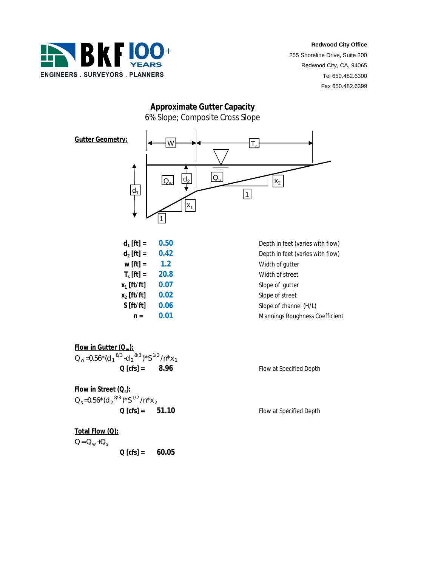

255 Shoreline Drive, Suite 200 Redwood City, CA, 94065 Tel 650.482.6300 Fax 650.482.6399

# **Approximate Gutter Capacity** 6% Slope; Composite Cross Slope



| $d_1$ [ft] =          | 0.50 |
|-----------------------|------|
| $d_2$ [ft] =          | 0.42 |
| $W[ft] =$             | 1.2  |
| $T_{s}$ [ft] =        | 20.8 |
| $x_1$ [ft/ft]         | 0.07 |
| $x_2$ [ft/ft]         | 0.02 |
| S[f <sub>t</sub> /ft] | 0.06 |
| n =                   | 0.01 |
|                       |      |

**Depth in feet (varies with flow)** Depth in feet (varies with flow) **Width of gutter Width of street Slope of gutter Slope of street** Slope of channel (H/L) **n = 0.01** Mannings Roughness Coefficient

**Flow in Gutter (Qw):**  $Q_w = 0.56*(d_1^{8/3} - d_2^{8/3})*S^{1/2}/n*x_1$ **Q [cfs] = 8.96** Flow at Specified Depth

**Flow in Street (Q<sup>s</sup> ):** *Q <sup>s</sup> =0.56\*(d <sup>2</sup> 8/3 )\*S 1/2 /n\*x <sup>2</sup>* **Q [cfs] = 51.10** Flow at Specified Depth

**Total Flow (Q):**  $Q = Q_w + Q_s$ **Q [cfs] = 60.05**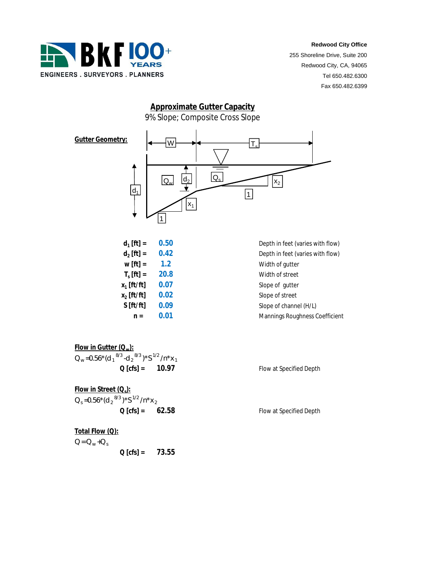

255 Shoreline Drive, Suite 200 Redwood City, CA, 94065 Tel 650.482.6300 Fax 650.482.6399

# 9% Slope; Composite Cross Slope **Approximate Gutter Capacity**



| $d_1$ [ft] =   | 0.50 |
|----------------|------|
| $d_2$ [ft] =   | 0.42 |
| $w[ft] =$      | 1.2  |
| $T_{s}$ [ft] = | 20.8 |
| $x_1$ [ft/ft]  | 0.07 |
| $x_2$ [ft/ft]  | 0.02 |
| S[ft/ft]       | 0.09 |
| $n =$          | 0.01 |
|                |      |

**Depth in feet (varies with flow)** Depth in feet (varies with flow) **Width of gutter Width of street Slope of gutter Slope of street** Slope of channel (H/L) **n = 0.01** Mannings Roughness Coefficient

**Flow in Gutter (Qw):**  $Q_w = 0.56*(d_1^{8/3} - d_2^{8/3})*S^{1/2}/n*x_1$ **Q [cfs] = 10.97** Flow at Specified Depth

**Flow in Street (Q<sup>s</sup> ):** *Q <sup>s</sup> =0.56\*(d <sup>2</sup> 8/3 )\*S 1/2 /n\*x <sup>2</sup>* **Q [cfs] = 62.58** Flow at Specified Depth

**Total Flow (Q):**  $Q = Q_w + Q_s$ **Q [cfs] = 73.55**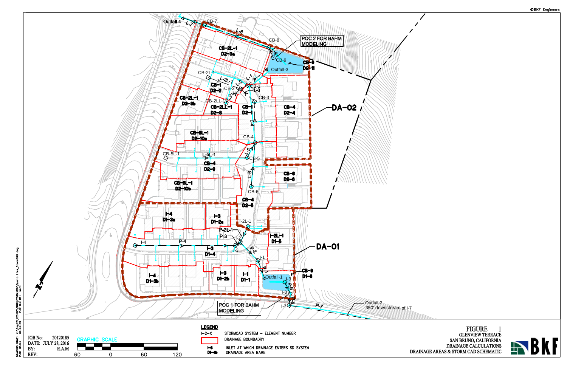

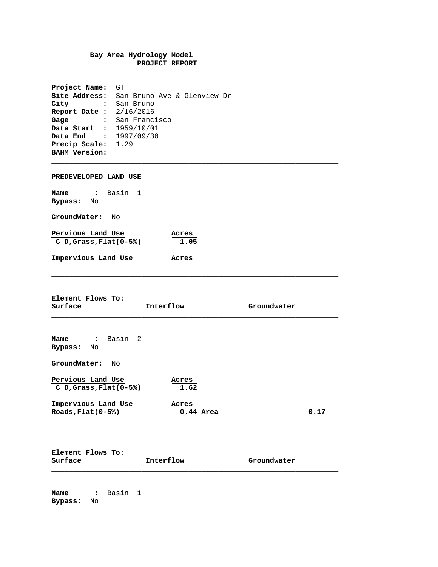#### **Bay Area Hydrology Model PROJECT REPORT**

**\_\_\_\_\_\_\_\_\_\_\_\_\_\_\_\_\_\_\_\_\_\_\_\_\_\_\_\_\_\_\_\_\_\_\_\_\_\_\_\_\_\_\_\_\_\_\_\_\_\_\_\_\_\_\_\_\_\_\_\_\_\_\_\_\_\_\_**

 $\_$  ,  $\_$  ,  $\_$  ,  $\_$  ,  $\_$  ,  $\_$  ,  $\_$  ,  $\_$  ,  $\_$  ,  $\_$  ,  $\_$  ,  $\_$  ,  $\_$  ,  $\_$  ,  $\_$  ,  $\_$  ,  $\_$  ,  $\_$  ,  $\_$  ,  $\_$  ,  $\_$  ,  $\_$  ,  $\_$  ,  $\_$  ,  $\_$  ,  $\_$  ,  $\_$  ,  $\_$  ,  $\_$  ,  $\_$  ,  $\_$  ,  $\_$  ,  $\_$  ,  $\_$  ,  $\_$  ,  $\_$  ,  $\_$  ,

**\_\_\_\_\_\_\_\_\_\_\_\_\_\_\_\_\_\_\_\_\_\_\_\_\_\_\_\_\_\_\_\_\_\_\_\_\_\_\_\_\_\_\_\_\_\_\_\_\_\_\_\_\_\_\_\_\_\_\_\_\_\_\_\_\_\_\_**

**Project Name:** GT **Site Address:** San Bruno Ave & Glenview Dr **City :** San Bruno **Report Date :** 2/16/2016 **Gage :** San Francisco **Data Start :** 1959/10/01 **Data End :** 1997/09/30 **Precip Scale:** 1.29 **BAHM Version:**

**PREDEVELOPED LAND USE**

| Name              | Basin 1                    |               |
|-------------------|----------------------------|---------------|
| Bypass:           | Nο                         |               |
| GroundWater:      | N∩                         |               |
| Pervious Land Use | $C$ D, Grass, Flat $(0-5)$ | Acres<br>1.05 |
|                   | Impervious Land Use        | Acres         |

**Element Flows To:**

| Surface                                     | Interflow            | Groundwater |  |
|---------------------------------------------|----------------------|-------------|--|
|                                             |                      |             |  |
| : Basin 2<br>Name<br>Bypass: No             |                      |             |  |
| GroundWater:<br>Nο                          |                      |             |  |
| Pervious Land Use<br>$CD, Grass, Flat(0-5)$ | Acres<br>1.62        |             |  |
| Impervious Land Use<br>Roads, $Flat(0-5%)$  | Acres<br>$0.44$ Area | 0.17        |  |
| Element Flows To:<br>Surface                | Interflow            | Groundwater |  |

\_\_\_\_\_\_\_\_\_\_\_\_\_\_\_\_\_\_\_\_\_\_\_\_\_\_\_\_\_\_\_\_\_\_\_\_\_\_\_\_\_\_\_\_\_\_\_\_\_\_\_\_\_\_\_\_\_\_\_\_\_\_\_\_\_\_\_

**Name :** Basin 1 **Bypass:** No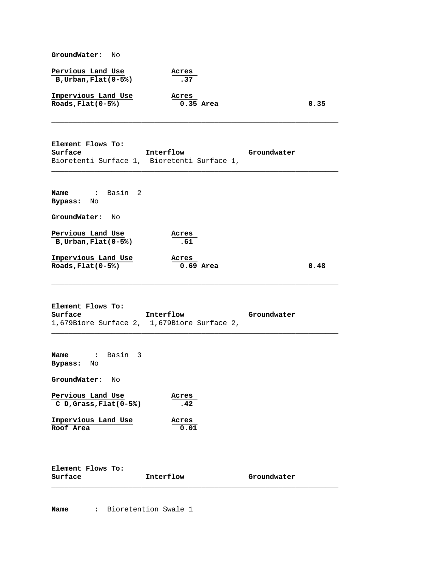**GroundWater:** No

| Pervious Land Use         |  | Acres |
|---------------------------|--|-------|
| $B, U$ rban, Flat $(0-5)$ |  | .37   |

| Impervious Land Use         | Acres     |      |
|-----------------------------|-----------|------|
| $\texttt{Roads,Flat}(0-5%)$ | 0.35 Area | 0.35 |

**Element Flows To: Surface Interflow Groundwater** Bioretenti Surface 1, Bioretenti Surface 1,

| Name<br>Bypass:     | Basin 2<br>$\ddot{\cdot}$<br>No             |                      |      |
|---------------------|---------------------------------------------|----------------------|------|
| GroundWater:        | No                                          |                      |      |
|                     | Pervious Land Use<br>$B, Urban, Flat(0-5%)$ | Acres<br>.61         |      |
| Roads, $Flat(0-5%)$ | Impervious Land Use                         | Acres<br>$0.69$ Area | 0.48 |

**\_\_\_\_\_\_\_\_\_\_\_\_\_\_\_\_\_\_\_\_\_\_\_\_\_\_\_\_\_\_\_\_\_\_\_\_\_\_\_\_\_\_\_\_\_\_\_\_\_\_\_\_\_\_\_\_\_\_\_\_\_\_\_\_\_\_\_**

 $\overline{\phantom{a}}$  , and the contribution of the contribution of the contribution of the contribution of the contribution of the contribution of the contribution of the contribution of the contribution of the contribution of the

**\_\_\_\_\_\_\_\_\_\_\_\_\_\_\_\_\_\_\_\_\_\_\_\_\_\_\_\_\_\_\_\_\_\_\_\_\_\_\_\_\_\_\_\_\_\_\_\_\_\_\_\_\_\_\_\_\_\_\_\_\_\_\_\_\_\_\_**

 $\_$  ,  $\_$  ,  $\_$  ,  $\_$  ,  $\_$  ,  $\_$  ,  $\_$  ,  $\_$  ,  $\_$  ,  $\_$  ,  $\_$  ,  $\_$  ,  $\_$  ,  $\_$  ,  $\_$  ,  $\_$  ,  $\_$  ,  $\_$  ,  $\_$  ,  $\_$  ,  $\_$  ,  $\_$  ,  $\_$  ,  $\_$  ,  $\_$  ,  $\_$  ,  $\_$  ,  $\_$  ,  $\_$  ,  $\_$  ,  $\_$  ,  $\_$  ,  $\_$  ,  $\_$  ,  $\_$  ,  $\_$  ,  $\_$  ,

**Element Flows To:** Interflow Groundwater 1,679Biore Surface 2, 1,679Biore Surface 2,

| Name : Basin 3<br>Bypass: No                 |               |             |
|----------------------------------------------|---------------|-------------|
| GroundWater:<br>No                           |               |             |
| Pervious Land Use<br>$CD, Grass, Flat(0-5%)$ | Acres<br>.42  |             |
| Impervious Land Use<br>Roof Area             | Acres<br>0.01 |             |
| Element Flows To:<br>Surface                 | Interflow     | Groundwater |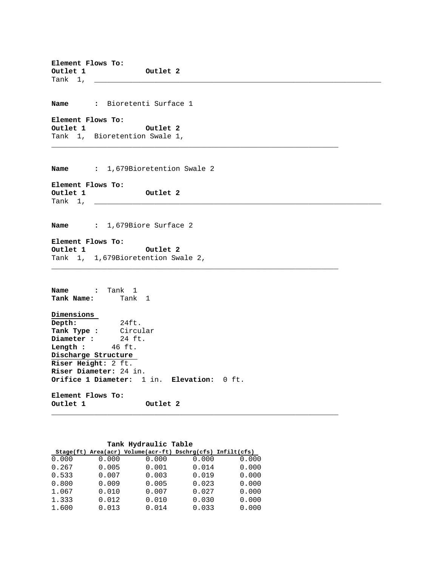**Element Flows To: Outlet 1 Outlet 2** Tank  $1, -$ 

**Name :** Bioretenti Surface 1

**Element Flows To: Outlet 1 Outlet 2** Tank 1, Bioretention Swale 1,

**Name :** 1,679Bioretention Swale 2

 $\overline{\phantom{a}}$  , and the contribution of the contribution of the contribution of the contribution of the contribution of the contribution of the contribution of the contribution of the contribution of the contribution of the

**Element Flows To: Outlet 2** Tank  $1, \_\_\_\_\_\_$ 

**Name :** 1,679Biore Surface 2

**Element Flows To: Outlet 1 Outlet 2** Tank 1, 1,679Bioretention Swale 2,  $\overline{\phantom{a}}$  , and the contribution of the contribution of the contribution of the contribution of the contribution of the contribution of the contribution of the contribution of the contribution of the contribution of the

**Name :** Tank 1 **Tank Name:** Tank 1

**Dimensions Depth:** 24ft. **Tank Type :** Circular **Diameter :** 24 ft. **Limiter :** 24 ft<br> **Length :** 46 ft. **Discharge Structure Riser Height:** 2 ft. **Riser Diameter:** 24 in. **Orifice 1 Diameter:** 1 in. **Elevation:** 0 ft. **Element Flows To:**

**Outlet 1 Outlet 2**  $\overline{\phantom{a}}$  , and the contribution of the contribution of the contribution of the contribution of the contribution of the contribution of the contribution of the contribution of the contribution of the contribution of the

#### **Tank Hydraulic Table**

|       |       | Stage(ft) Area(acr) Volume(acr-ft) Dschrg(cfs) Infilt(cfs) |       |       |
|-------|-------|------------------------------------------------------------|-------|-------|
| 0.000 | 0.000 | 0.000                                                      | 0.000 | 0.000 |
| 0.267 | 0.005 | 0.001                                                      | 0.014 | 0.000 |
| 0.533 | 0.007 | 0.003                                                      | 0.019 | 0.000 |
| 0.800 | 0.009 | 0.005                                                      | 0.023 | 0.000 |
| 1.067 | 0.010 | 0.007                                                      | 0.027 | 0.000 |
| 1.333 | 0.012 | 0.010                                                      | 0.030 | 0.000 |
| 1.600 | 0.013 | 0.014                                                      | 0.033 | 0.000 |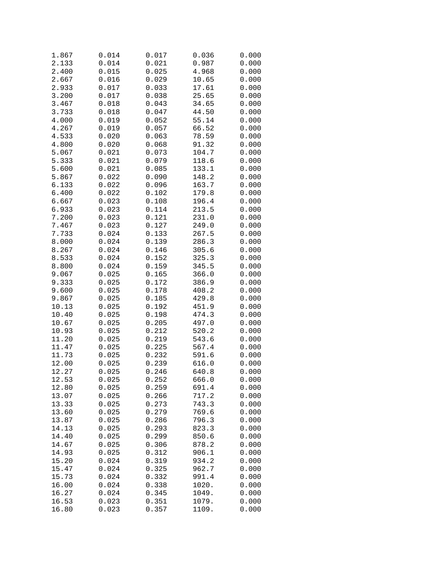| 1.867 | 0.014 | 0.017 | 0.036 | 0.000 |
|-------|-------|-------|-------|-------|
| 2.133 | 0.014 | 0.021 | 0.987 | 0.000 |
| 2.400 | 0.015 | 0.025 | 4.968 | 0.000 |
| 2.667 | 0.016 | 0.029 | 10.65 | 0.000 |
| 2.933 | 0.017 | 0.033 | 17.61 | 0.000 |
| 3.200 | 0.017 | 0.038 | 25.65 | 0.000 |
| 3.467 | 0.018 | 0.043 | 34.65 | 0.000 |
| 3.733 | 0.018 | 0.047 | 44.50 | 0.000 |
| 4.000 | 0.019 | 0.052 | 55.14 | 0.000 |
| 4.267 |       |       | 66.52 |       |
|       | 0.019 | 0.057 |       | 0.000 |
| 4.533 | 0.020 | 0.063 | 78.59 | 0.000 |
| 4.800 | 0.020 | 0.068 | 91.32 | 0.000 |
| 5.067 | 0.021 | 0.073 | 104.7 | 0.000 |
| 5.333 | 0.021 | 0.079 | 118.6 | 0.000 |
| 5.600 | 0.021 | 0.085 | 133.1 | 0.000 |
| 5.867 | 0.022 | 0.090 | 148.2 | 0.000 |
| 6.133 | 0.022 | 0.096 | 163.7 | 0.000 |
| 6.400 | 0.022 | 0.102 | 179.8 | 0.000 |
| 6.667 | 0.023 | 0.108 | 196.4 | 0.000 |
| 6.933 | 0.023 | 0.114 | 213.5 | 0.000 |
| 7.200 | 0.023 | 0.121 | 231.0 | 0.000 |
| 7.467 | 0.023 | 0.127 | 249.0 | 0.000 |
| 7.733 | 0.024 | 0.133 | 267.5 | 0.000 |
| 8.000 | 0.024 | 0.139 | 286.3 | 0.000 |
| 8.267 | 0.024 | 0.146 | 305.6 | 0.000 |
| 8.533 | 0.024 | 0.152 | 325.3 | 0.000 |
| 8.800 | 0.024 | 0.159 | 345.5 | 0.000 |
| 9.067 | 0.025 | 0.165 | 366.0 | 0.000 |
| 9.333 | 0.025 | 0.172 | 386.9 | 0.000 |
| 9.600 | 0.025 | 0.178 | 408.2 | 0.000 |
| 9.867 | 0.025 | 0.185 | 429.8 | 0.000 |
| 10.13 | 0.025 | 0.192 | 451.9 |       |
|       |       |       |       | 0.000 |
| 10.40 | 0.025 | 0.198 | 474.3 | 0.000 |
| 10.67 | 0.025 | 0.205 | 497.0 | 0.000 |
| 10.93 | 0.025 | 0.212 | 520.2 | 0.000 |
| 11.20 | 0.025 | 0.219 | 543.6 | 0.000 |
| 11.47 | 0.025 | 0.225 | 567.4 | 0.000 |
| 11.73 | 0.025 | 0.232 | 591.6 | 0.000 |
| 12.00 | 0.025 | 0.239 | 616.0 | 0.000 |
| 12.27 | 0.025 | 0.246 | 640.8 | 0.000 |
| 12.53 | 0.025 | 0.252 | 666.0 | 0.000 |
| 12.80 | 0.025 | 0.259 | 691.4 | 0.000 |
| 13.07 | 0.025 | 0.266 | 717.2 | 0.000 |
| 13.33 | 0.025 | 0.273 | 743.3 | 0.000 |
| 13.60 | 0.025 | 0.279 | 769.6 | 0.000 |
| 13.87 | 0.025 | 0.286 | 796.3 | 0.000 |
| 14.13 | 0.025 | 0.293 | 823.3 | 0.000 |
| 14.40 | 0.025 | 0.299 | 850.6 | 0.000 |
| 14.67 | 0.025 | 0.306 | 878.2 | 0.000 |
| 14.93 | 0.025 | 0.312 | 906.1 | 0.000 |
| 15.20 | 0.024 | 0.319 | 934.2 | 0.000 |
| 15.47 | 0.024 | 0.325 | 962.7 | 0.000 |
| 15.73 | 0.024 | 0.332 | 991.4 | 0.000 |
| 16.00 | 0.024 | 0.338 | 1020. | 0.000 |
| 16.27 | 0.024 | 0.345 | 1049. | 0.000 |
| 16.53 | 0.023 | 0.351 | 1079. |       |
|       |       |       |       | 0.000 |
| 16.80 | 0.023 | 0.357 | 1109. | 0.000 |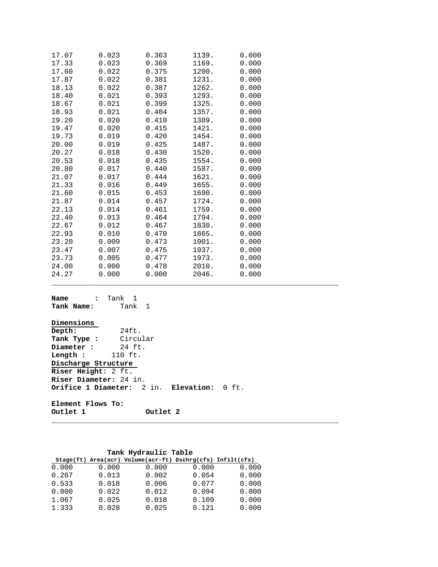| 0.023 | 0.363 | 1139. | 0.000 |
|-------|-------|-------|-------|
| 0.023 | 0.369 | 1169. | 0.000 |
| 0.022 | 0.375 | 1200. | 0.000 |
| 0.022 | 0.381 | 1231. | 0.000 |
| 0.022 | 0.387 | 1262. | 0.000 |
| 0.021 | 0.393 | 1293. | 0.000 |
| 0.021 | 0.399 | 1325. | 0.000 |
| 0.021 | 0.404 | 1357. | 0.000 |
| 0.020 | 0.410 | 1389. | 0.000 |
| 0.020 | 0.415 | 1421. | 0.000 |
| 0.019 | 0.420 | 1454. | 0.000 |
| 0.019 | 0.425 | 1487. | 0.000 |
| 0.018 | 0.430 | 1520. | 0.000 |
| 0.018 | 0.435 | 1554. | 0.000 |
| 0.017 | 0.440 | 1587. | 0.000 |
| 0.017 | 0.444 | 1621. | 0.000 |
| 0.016 | 0.449 | 1655. | 0.000 |
| 0.015 | 0.453 | 1690. | 0.000 |
| 0.014 | 0.457 | 1724. | 0.000 |
| 0.014 | 0.461 | 1759. | 0.000 |
| 0.013 | 0.464 | 1794. | 0.000 |
| 0.012 | 0.467 | 1830. | 0.000 |
| 0.010 | 0.470 | 1865. | 0.000 |
| 0.009 | 0.473 | 1901. | 0.000 |
| 0.007 | 0.475 | 1937. | 0.000 |
| 0.005 | 0.477 | 1973. | 0.000 |
| 0.000 | 0.478 | 2010. | 0.000 |
| 0.000 | 0.000 | 2046. | 0.000 |
|       |       |       |       |

| <b>Name :</b> Tank 1<br><b>Tank Name:</b> Tank 1 |                                            |  |
|--------------------------------------------------|--------------------------------------------|--|
| Dimensions                                       |                                            |  |
| Depth:                                           | 24ft.                                      |  |
| Tank Type : Circular                             |                                            |  |
| Diameter:24ft.                                   |                                            |  |
| Length: 110 ft.                                  |                                            |  |
| Discharge Structure                              |                                            |  |
| Riser Height: 2 ft.                              |                                            |  |
| Riser Diameter: 24 in.                           |                                            |  |
|                                                  | Orifice 1 Diameter: 2 in. Elevation: 0 ft. |  |
| Element Flows To:                                |                                            |  |
| Outlet 1                                         | Outlet 2                                   |  |

 $\_$  ,  $\_$  ,  $\_$  ,  $\_$  ,  $\_$  ,  $\_$  ,  $\_$  ,  $\_$  ,  $\_$  ,  $\_$  ,  $\_$  ,  $\_$  ,  $\_$  ,  $\_$  ,  $\_$  ,  $\_$  ,  $\_$  ,  $\_$  ,  $\_$  ,  $\_$  ,  $\_$  ,  $\_$  ,  $\_$  ,  $\_$  ,  $\_$  ,  $\_$  ,  $\_$  ,  $\_$  ,  $\_$  ,  $\_$  ,  $\_$  ,  $\_$  ,  $\_$  ,  $\_$  ,  $\_$  ,  $\_$  ,  $\_$  ,

\_\_\_\_\_\_\_\_\_\_\_\_\_\_\_\_\_\_\_\_\_\_\_\_\_\_\_\_\_\_\_\_\_\_\_\_\_\_\_\_\_\_\_\_\_\_\_\_\_\_\_\_\_\_\_\_\_\_\_\_\_\_\_\_\_\_\_

### **Tank Hydraulic Table**

|       |       | $Stage (ft) Area (acr) Volume (acr-fit) Dschrg (cfs) Infilt (cfs)$ |       |       |
|-------|-------|--------------------------------------------------------------------|-------|-------|
| 0.000 | 0.000 | 0.000                                                              | 0.000 | 0.000 |
| 0.267 | 0.013 | 0.002                                                              | 0.054 | 0.000 |
| 0.533 | 0.018 | 0.006                                                              | 0.077 | 0.000 |
| 0.800 | 0.022 | 0.012                                                              | 0.094 | 0.000 |
| 1.067 | 0.025 | 0.018                                                              | 0.109 | 0.000 |
| 1.333 | 0.028 | 0.025                                                              | 0.121 | 0.000 |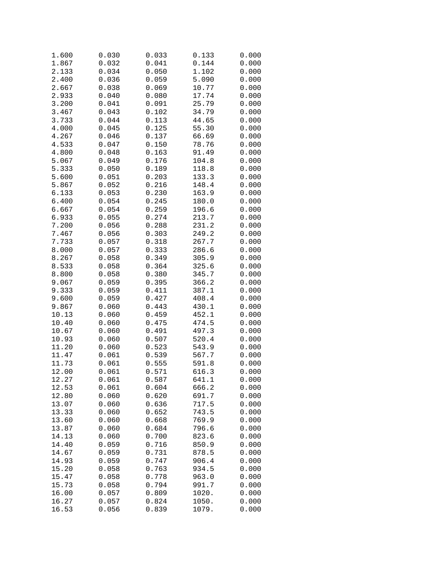| 1.600          | 0.030 | 0.033 | 0.133 | 0.000 |
|----------------|-------|-------|-------|-------|
| 1.867          | 0.032 | 0.041 | 0.144 | 0.000 |
| 2.133          | 0.034 | 0.050 | 1.102 | 0.000 |
| 2.400          | 0.036 | 0.059 | 5.090 | 0.000 |
| 2.667          | 0.038 | 0.069 | 10.77 | 0.000 |
| 2.933          | 0.040 | 0.080 | 17.74 | 0.000 |
| 3.200          | 0.041 | 0.091 | 25.79 | 0.000 |
| 3.467          | 0.043 | 0.102 | 34.79 | 0.000 |
| 3.733          | 0.044 | 0.113 | 44.65 | 0.000 |
| 4.000          | 0.045 | 0.125 | 55.30 | 0.000 |
| 4.267          | 0.046 | 0.137 | 66.69 | 0.000 |
|                | 0.047 |       | 78.76 |       |
| 4.533          |       | 0.150 |       | 0.000 |
| 4.800          | 0.048 | 0.163 | 91.49 | 0.000 |
| 5.067          | 0.049 | 0.176 | 104.8 | 0.000 |
| 5.333          | 0.050 | 0.189 | 118.8 | 0.000 |
| 5.600          | 0.051 | 0.203 | 133.3 | 0.000 |
| 5.867          | 0.052 | 0.216 | 148.4 | 0.000 |
| 6.133          | 0.053 | 0.230 | 163.9 | 0.000 |
| 6.400          | 0.054 | 0.245 | 180.0 | 0.000 |
| 6.667          | 0.054 | 0.259 | 196.6 | 0.000 |
| 6.933          | 0.055 | 0.274 | 213.7 | 0.000 |
| 7.200          | 0.056 | 0.288 | 231.2 | 0.000 |
| 7.467          | 0.056 | 0.303 | 249.2 | 0.000 |
| 7.733          | 0.057 | 0.318 | 267.7 | 0.000 |
| 8.000          | 0.057 | 0.333 | 286.6 | 0.000 |
| 8.267          | 0.058 | 0.349 | 305.9 | 0.000 |
| 8.533          | 0.058 | 0.364 | 325.6 | 0.000 |
| 8.800          | 0.058 | 0.380 | 345.7 | 0.000 |
| 9.067          | 0.059 | 0.395 | 366.2 | 0.000 |
| 9.333          | 0.059 | 0.411 | 387.1 | 0.000 |
| 9.600          | 0.059 | 0.427 | 408.4 | 0.000 |
| 9.867          | 0.060 | 0.443 | 430.1 | 0.000 |
| 10.13          | 0.060 | 0.459 | 452.1 | 0.000 |
| 10.40          | 0.060 | 0.475 | 474.5 | 0.000 |
| 10.67          | 0.060 | 0.491 | 497.3 | 0.000 |
| 10.93          | 0.060 | 0.507 | 520.4 | 0.000 |
| 11.20          | 0.060 | 0.523 | 543.9 | 0.000 |
| 11.47          | 0.061 | 0.539 | 567.7 | 0.000 |
| 11.73          | 0.061 | 0.555 | 591.8 | 0.000 |
| 12.00          | 0.061 | 0.571 | 616.3 | 0.000 |
| 12.27          | 0.061 | 0.587 | 641.1 | 0.000 |
| 12.53          | 0.061 | 0.604 | 666.2 | 0.000 |
| 12.80          | 0.060 | 0.620 | 691.7 | 0.000 |
| 13.07          | 0.060 | 0.636 | 717.5 | 0.000 |
|                | 0.060 | 0.652 | 743.5 | 0.000 |
| 13.33<br>13.60 |       | 0.668 |       |       |
|                | 0.060 | 0.684 | 769.9 | 0.000 |
| 13.87          | 0.060 |       | 796.6 | 0.000 |
| 14.13          | 0.060 | 0.700 | 823.6 | 0.000 |
| 14.40          | 0.059 | 0.716 | 850.9 | 0.000 |
| 14.67          | 0.059 | 0.731 | 878.5 | 0.000 |
| 14.93          | 0.059 | 0.747 | 906.4 | 0.000 |
| 15.20          | 0.058 | 0.763 | 934.5 | 0.000 |
| 15.47          | 0.058 | 0.778 | 963.0 | 0.000 |
| 15.73          | 0.058 | 0.794 | 991.7 | 0.000 |
| 16.00          | 0.057 | 0.809 | 1020. | 0.000 |
| 16.27          | 0.057 | 0.824 | 1050. | 0.000 |
| 16.53          | 0.056 | 0.839 | 1079. | 0.000 |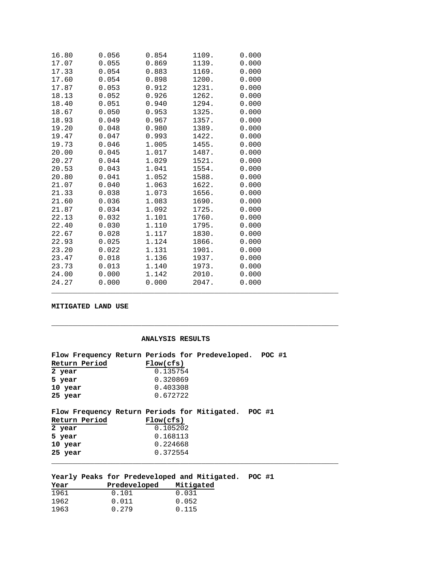| 16.80 | 0.056 | 0.854 | 1109. | 0.000 |
|-------|-------|-------|-------|-------|
| 17.07 | 0.055 | 0.869 | 1139. | 0.000 |
| 17.33 | 0.054 | 0.883 | 1169. | 0.000 |
| 17.60 | 0.054 | 0.898 | 1200. | 0.000 |
| 17.87 | 0.053 | 0.912 | 1231. | 0.000 |
| 18.13 | 0.052 | 0.926 | 1262. | 0.000 |
| 18.40 | 0.051 | 0.940 | 1294. | 0.000 |
| 18.67 | 0.050 | 0.953 | 1325. | 0.000 |
| 18.93 | 0.049 | 0.967 | 1357. | 0.000 |
| 19.20 | 0.048 | 0.980 | 1389. | 0.000 |
| 19.47 | 0.047 | 0.993 | 1422. | 0.000 |
| 19.73 | 0.046 | 1.005 | 1455. | 0.000 |
| 20.00 | 0.045 | 1.017 | 1487. | 0.000 |
| 20.27 | 0.044 | 1.029 | 1521. | 0.000 |
| 20.53 | 0.043 | 1.041 | 1554. | 0.000 |
| 20.80 | 0.041 | 1.052 | 1588. | 0.000 |
| 21.07 | 0.040 | 1.063 | 1622. | 0.000 |
| 21.33 | 0.038 | 1.073 | 1656. | 0.000 |
| 21.60 | 0.036 | 1.083 | 1690. | 0.000 |
| 21.87 | 0.034 | 1.092 | 1725. | 0.000 |
| 22.13 | 0.032 | 1.101 | 1760. | 0.000 |
| 22.40 | 0.030 | 1.110 | 1795. | 0.000 |
| 22.67 | 0.028 | 1.117 | 1830. | 0.000 |
| 22.93 | 0.025 | 1.124 | 1866. | 0.000 |
| 23.20 | 0.022 | 1.131 | 1901. | 0.000 |
| 23.47 | 0.018 | 1.136 | 1937. | 0.000 |
| 23.73 | 0.013 | 1.140 | 1973. | 0.000 |
| 24.00 | 0.000 | 1.142 | 2010. | 0.000 |
| 24.27 | 0.000 | 0.000 | 2047. | 0.000 |

#### **MITIGATED LAND USE**

#### **ANALYSIS RESULTS**

**\_\_\_\_\_\_\_\_\_\_\_\_\_\_\_\_\_\_\_\_\_\_\_\_\_\_\_\_\_\_\_\_\_\_\_\_\_\_\_\_\_\_\_\_\_\_\_\_\_\_\_\_\_\_\_\_\_\_\_\_\_\_\_\_\_\_\_**

|               | Flow Frequency Return Periods for Predeveloped. POC #1 |  |
|---------------|--------------------------------------------------------|--|
| Return Period | Flow(cfs)                                              |  |
| 2 year        | 0.135754                                               |  |
| 5 year        | 0.320869                                               |  |
| 10 year       | 0.403308                                               |  |
| 25 year       | 0.672722                                               |  |
|               |                                                        |  |
|               | Flow Frequency Return Periods for Mitigated. POC #1    |  |
| Return Period | Flow(cfs)                                              |  |
| 2 year        | 0.105202                                               |  |
| 5 year        | 0.168113                                               |  |
| 10 year       | 0.224668                                               |  |
| 25 year       | 0.372554                                               |  |
|               |                                                        |  |

|      |  |              | Yearly Peaks for Predeveloped and Mitigated. | POC #1 |  |
|------|--|--------------|----------------------------------------------|--------|--|
| Year |  | Predeveloped | Mitigated                                    |        |  |

| ------------- | ----------- |
|---------------|-------------|
| 0.101         | 0.031       |
| 0.011         | 0.052       |
| 0.279         | 0.115       |
|               |             |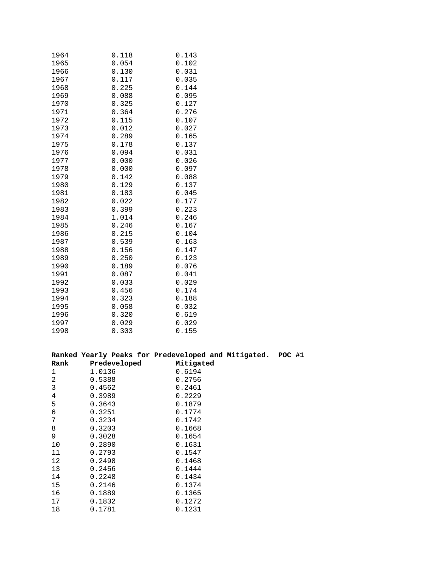| 1964 | 0.118 | 0.143 |
|------|-------|-------|
| 1965 | 0.054 | 0.102 |
| 1966 | 0.130 | 0.031 |
| 1967 | 0.117 | 0.035 |
| 1968 | 0.225 | 0.144 |
| 1969 | 0.088 | 0.095 |
| 1970 | 0.325 | 0.127 |
| 1971 | 0.364 | 0.276 |
| 1972 | 0.115 | 0.107 |
| 1973 | 0.012 | 0.027 |
| 1974 | 0.289 | 0.165 |
| 1975 | 0.178 | 0.137 |
| 1976 | 0.094 | 0.031 |
| 1977 | 0.000 | 0.026 |
| 1978 | 0.000 | 0.097 |
| 1979 | 0.142 | 0.088 |
| 1980 | 0.129 | 0.137 |
| 1981 | 0.183 | 0.045 |
| 1982 | 0.022 | 0.177 |
| 1983 | 0.399 | 0.223 |
| 1984 | 1.014 | 0.246 |
| 1985 | 0.246 | 0.167 |
| 1986 | 0.215 | 0.104 |
| 1987 | 0.539 | 0.163 |
| 1988 | 0.156 | 0.147 |
| 1989 | 0.250 | 0.123 |
| 1990 | 0.189 | 0.076 |
| 1991 | 0.087 | 0.041 |
| 1992 | 0.033 | 0.029 |
| 1993 | 0.456 | 0.174 |
| 1994 | 0.323 | 0.188 |
| 1995 | 0.058 | 0.032 |
| 1996 | 0.320 | 0.619 |
| 1997 | 0.029 | 0.029 |
| 1998 | 0.303 | 0.155 |

# **Ranked Yearly Peaks for Predeveloped and Mitigated. POC #1**

 $\overline{\phantom{a}}$  , and the contribution of the contribution of the contribution of the contribution of the contribution of the contribution of the contribution of the contribution of the contribution of the contribution of the

| Rank | Predeveloped | Mitigated |
|------|--------------|-----------|
| 1    | 1.0136       | 0.6194    |
| 2    | 0.5388       | 0.2756    |
| 3    | 0.4562       | 0.2461    |
| 4    | 0.3989       | 0.2229    |
| 5    | 0.3643       | 0.1879    |
| 6    | 0.3251       | 0.1774    |
| 7    | 0.3234       | 0.1742    |
| 8    | 0.3203       | 0.1668    |
| 9    | 0.3028       | 0.1654    |
| 10   | 0.2890       | 0.1631    |
| 11   | 0.2793       | 0.1547    |
| 12   | 0.2498       | 0.1468    |
| 13   | 0.2456       | 0.1444    |
| 14   | 0.2248       | 0.1434    |
| 15   | 0.2146       | 0.1374    |
| 16   | 0.1889       | 0.1365    |
| 17   | 0.1832       | 0.1272    |
| 18   | 0.1781       | 0.1231    |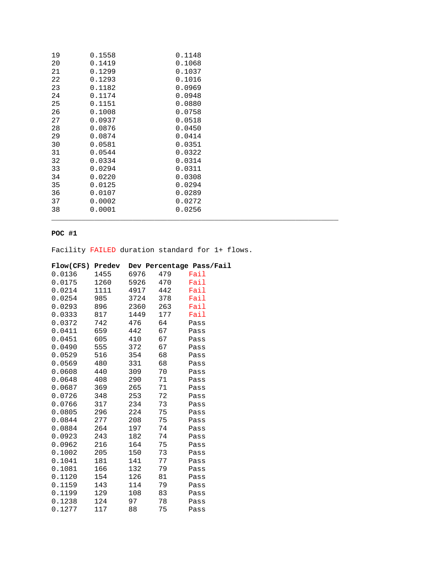| 19 | 0.1558 | 0.1148 |  |
|----|--------|--------|--|
| 20 | 0.1419 | 0.1068 |  |
| 21 | 0.1299 | 0.1037 |  |
| 22 | 0.1293 | 0.1016 |  |
| 23 | 0.1182 | 0.0969 |  |
| 24 | 0.1174 | 0.0948 |  |
| 25 | 0.1151 | 0.0880 |  |
| 26 | 0.1008 | 0.0758 |  |
| 27 | 0.0937 | 0.0518 |  |
| 28 | 0.0876 | 0.0450 |  |
| 29 | 0.0874 | 0.0414 |  |
| 30 | 0.0581 | 0.0351 |  |
| 31 | 0.0544 | 0.0322 |  |
| 32 | 0.0334 | 0.0314 |  |
| 33 | 0.0294 | 0.0311 |  |
| 34 | 0.0220 | 0.0308 |  |
| 35 | 0.0125 | 0.0294 |  |
| 36 | 0.0107 | 0.0289 |  |
| 37 | 0.0002 | 0.0272 |  |
| 38 | 0.0001 | 0.0256 |  |
|    |        |        |  |

# **POC #1**

Facility FAILED duration standard for 1+ flows.

| Flow(CFS) | Predev |      |     | Dev Percentage Pass/Fail |
|-----------|--------|------|-----|--------------------------|
| 0.0136    | 1455   | 6976 | 479 | Fail                     |
| 0.0175    | 1260   | 5926 | 470 | Fail                     |
| 0.0214    | 1111   | 4917 | 442 | Fail                     |
| 0.0254    | 985    | 3724 | 378 | Fail                     |
| 0.0293    | 896    | 2360 | 263 | Fail                     |
| 0.0333    | 817    | 1449 | 177 | Fail                     |
| 0.0372    | 742    | 476  | 64  | Pass                     |
| 0.0411    | 659    | 442  | 67  | Pass                     |
| 0.0451    | 605    | 410  | 67  | Pass                     |
| 0.0490    | 555    | 372  | 67  | Pass                     |
| 0.0529    | 516    | 354  | 68  | Pass                     |
| 0.0569    | 480    | 331  | 68  | Pass                     |
| 0.0608    | 440    | 309  | 70  | Pass                     |
| 0.0648    | 408    | 290  | 71  | Pass                     |
| 0.0687    | 369    | 265  | 71  | Pass                     |
| 0.0726    | 348    | 253  | 72  | Pass                     |
| 0.0766    | 317    | 234  | 73  | Pass                     |
| 0.0805    | 296    | 224  | 75  | Pass                     |
| 0.0844    | 277    | 208  | 75  | Pass                     |
| 0.0884    | 264    | 197  | 74  | Pass                     |
| 0.0923    | 243    | 182  | 74  | Pass                     |
| 0.0962    | 216    | 164  | 75  | Pass                     |
| 0.1002    | 205    | 150  | 73  | Pass                     |
| 0.1041    | 181    | 141  | 77  | Pass                     |
| 0.1081    | 166    | 132  | 79  | Pass                     |
| 0.1120    | 154    | 126  | 81  | Pass                     |
| 0.1159    | 143    | 114  | 79  | Pass                     |
| 0.1199    | 129    | 108  | 83  | Pass                     |
| 0.1238    | 124    | 97   | 78  | Pass                     |
| 0.1277    | 117    | 88   | 75  | Pass                     |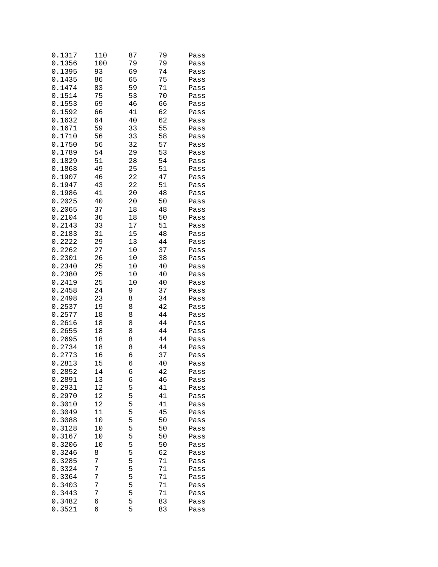| 0.1317 | 110 | 87 | 79 | Pass |
|--------|-----|----|----|------|
| 0.1356 | 100 | 79 | 79 | Pass |
| 0.1395 | 93  | 69 | 74 | Pass |
| 0.1435 | 86  | 65 | 75 | Pass |
| 0.1474 | 83  | 59 | 71 | Pass |
| 0.1514 | 75  | 53 | 70 | Pass |
| 0.1553 | 69  | 46 | 66 | Pass |
| 0.1592 | 66  | 41 | 62 | Pass |
| 0.1632 | 64  | 40 | 62 | Pass |
| 0.1671 | 59  | 33 | 55 | Pass |
| 0.1710 | 56  | 33 | 58 | Pass |
| 0.1750 | 56  | 32 | 57 | Pass |
| 0.1789 | 54  | 29 | 53 | Pass |
| 0.1829 | 51  | 28 | 54 | Pass |
| 0.1868 | 49  | 25 | 51 | Pass |
| 0.1907 | 46  | 22 | 47 | Pass |
| 0.1947 | 43  | 22 | 51 | Pass |
| 0.1986 | 41  | 20 | 48 | Pass |
| 0.2025 | 40  | 20 | 50 | Pass |
| 0.2065 | 37  | 18 | 48 | Pass |
| 0.2104 | 36  | 18 | 50 | Pass |
| 0.2143 | 33  | 17 | 51 | Pass |
| 0.2183 | 31  | 15 | 48 | Pass |
| 0.2222 | 29  | 13 | 44 | Pass |
| 0.2262 | 27  | 10 | 37 | Pass |
| 0.2301 | 26  | 10 | 38 | Pass |
| 0.2340 | 25  | 10 | 40 | Pass |
| 0.2380 | 25  | 10 | 40 | Pass |
| 0.2419 | 25  | 10 | 40 | Pass |
| 0.2458 | 24  | 9  | 37 | Pass |
| 0.2498 | 23  | 8  | 34 | Pass |
| 0.2537 | 19  | 8  | 42 | Pass |
| 0.2577 | 18  | 8  | 44 | Pass |
| 0.2616 | 18  | 8  | 44 | Pass |
| 0.2655 | 18  | 8  | 44 | Pass |
| 0.2695 | 18  | 8  | 44 | Pass |
| 0.2734 | 18  | 8  | 44 | Pass |
| 0.2773 | 16  | 6  | 37 | Pass |
| 0.2813 | 15  | б  | 40 | Pass |
| 0.2852 | 14  | 6  | 42 | Pass |
| 0.2891 | 13  | 6  | 46 | Pass |
| 0.2931 | 12  | 5  | 41 | Pass |
| 0.2970 | 12  | 5  | 41 | Pass |
| 0.3010 | 12  | 5  | 41 | Pass |
| 0.3049 | 11  | 5  | 45 | Pass |
| 0.3088 | 10  | 5  | 50 | Pass |
| 0.3128 | 10  | 5  | 50 | Pass |
| 0.3167 | 10  | 5  | 50 | Pass |
| 0.3206 | 10  | 5  | 50 | Pass |
| 0.3246 | 8   | 5  | 62 | Pass |
| 0.3285 | 7   | 5  | 71 | Pass |
| 0.3324 | 7   | 5  | 71 | Pass |
| 0.3364 | 7   | 5  | 71 | Pass |
| 0.3403 | 7   | 5  | 71 | Pass |
| 0.3443 | 7   | 5  | 71 | Pass |
| 0.3482 | 6   | 5  | 83 | Pass |
| 0.3521 | 6   | 5  | 83 | Pass |
|        |     |    |    |      |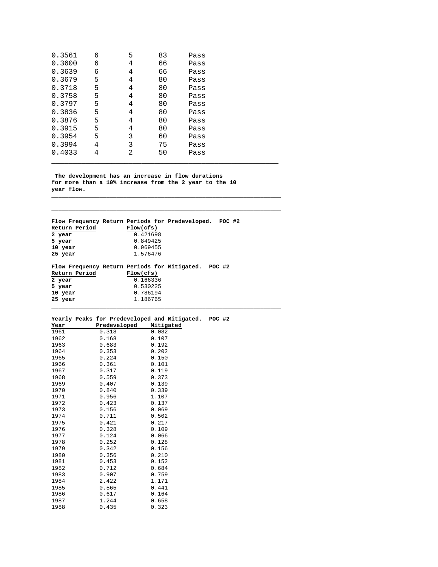| 0.3561 | 6 | 5 | 83 | Pass |
|--------|---|---|----|------|
| 0.3600 | 6 | 4 | 66 | Pass |
| 0.3639 | 6 | 4 | 66 | Pass |
| 0.3679 | 5 | 4 | 80 | Pass |
| 0.3718 | 5 | 4 | 80 | Pass |
| 0.3758 | 5 | 4 | 80 | Pass |
| 0.3797 | 5 | 4 | 80 | Pass |
| 0.3836 | 5 | 4 | 80 | Pass |
| 0.3876 | 5 | 4 | 80 | Pass |
| 0.3915 | 5 | 4 | 80 | Pass |
| 0.3954 | 5 | 3 | 60 | Pass |
| 0.3994 | 4 | 3 | 75 | Pass |
| 0.4033 | 4 | 2 | 50 | Pass |

 **The development has an increase in flow durations for more than a 10% increase from the 2 year to the 10 year flow. \_\_\_\_\_\_\_\_\_\_\_\_\_\_\_\_\_\_\_\_\_\_\_\_\_\_\_\_\_\_\_\_\_\_\_\_\_\_\_\_\_\_\_\_\_\_\_\_\_\_\_\_\_\_\_\_\_\_\_\_\_\_\_\_\_\_\_**

\_\_\_\_\_\_\_\_\_\_\_\_\_\_\_\_\_\_\_\_\_\_\_\_\_\_\_\_\_\_\_\_\_\_\_\_\_\_\_\_\_\_\_\_\_\_\_\_\_\_\_\_\_

**\_\_\_\_\_\_\_\_\_\_\_\_\_\_\_\_\_\_\_\_\_\_\_\_\_\_\_\_\_\_\_\_\_\_\_\_\_\_\_\_\_\_\_\_\_\_\_\_\_\_\_\_\_\_\_\_\_\_\_\_\_\_\_\_\_\_\_**

\_\_\_\_\_\_\_\_\_\_\_\_\_\_\_\_\_\_\_\_\_\_\_\_\_\_\_\_\_\_\_\_\_\_\_\_\_\_\_\_\_\_\_\_\_\_\_\_\_\_\_\_\_\_\_\_\_\_\_\_\_\_\_\_\_\_\_

**Flow Frequency Return Periods for Predeveloped. POC #2 Return Period<br>2 year 2 year** 0.421698<br> **5 year** 0.849425 **5 year** 0.849425<br> **10 year** 0.969455 **10 year** 0.969455<br>**25 year** 1.576476 **25 year** 1.576476

#### **Flow Frequency Return Periods for Mitigated. POC #2 Return Period**<br>2 year **2 year** 0.166336<br> **5 year** 0.530225 **5 year** 0.530225<br>**10 year** 0.786194 **10 year** 0.786194<br> **25 year** 1.186765 **25 year** 1.186765

#### **Yearly Peaks for Predeveloped and Mitigated. POC #2**

| Year | Predeveloped | Mitigated |
|------|--------------|-----------|
| 1961 | 0.318        | 0.082     |
| 1962 | 0.168        | 0.107     |
| 1963 | 0.683        | 0.192     |
| 1964 | 0.353        | 0.202     |
| 1965 | 0.224        | 0.150     |
| 1966 | 0.361        | 0.101     |
| 1967 | 0.317        | 0.119     |
| 1968 | 0.559        | 0.373     |
| 1969 | 0.407        | 0.139     |
| 1970 | 0.840        | 0.339     |
| 1971 | 0.956        | 1.107     |
| 1972 | 0.423        | 0.137     |
| 1973 | 0.156        | 0.069     |
| 1974 | 0.711        | 0.502     |
| 1975 | 0.421        | 0.217     |
| 1976 | 0.328        | 0.109     |
| 1977 | 0.124        | 0.066     |
| 1978 | 0.252        | 0.128     |
| 1979 | 0.342        | 0.156     |
| 1980 | 0.356        | 0.210     |
| 1981 | 0.453        | 0.152     |
| 1982 | 0.712        | 0.684     |
| 1983 | 0.907        | 0.759     |
| 1984 | 2.422        | 1.171     |
| 1985 | 0.565        | 0.441     |
| 1986 | 0.617        | 0.164     |
| 1987 | 1.244        | 0.658     |
| 1988 | 0.435        | 0.323     |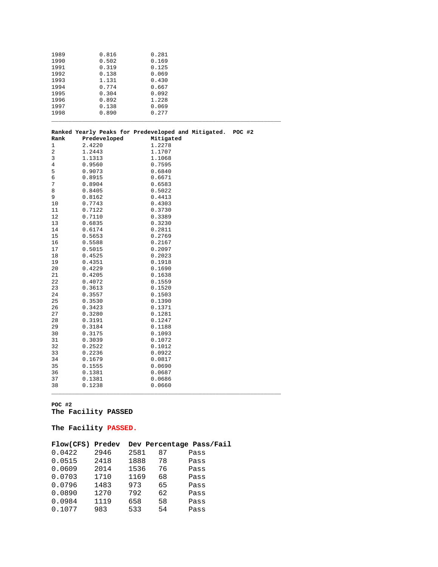| 1989 | 0.816        | 0.281                                                      |  |
|------|--------------|------------------------------------------------------------|--|
| 1990 | 0.502        | 0.169                                                      |  |
| 1991 | 0.319        | 0.125                                                      |  |
| 1992 | 0.138        | 0.069                                                      |  |
| 1993 | 1.131        | 0.430                                                      |  |
| 1994 | 0.774        | 0.667                                                      |  |
| 1995 | 0.304        | 0.092                                                      |  |
| 1996 | 0.892        | 1.228                                                      |  |
| 1997 | 0.138        | 0.069                                                      |  |
| 1998 | 0.890        | 0.277                                                      |  |
|      |              |                                                            |  |
|      |              | Ranked Yearly Peaks for Predeveloped and Mitigated. POC #2 |  |
| Rank | Predeveloped | Mitigated                                                  |  |
| 1    | 2.4220       | 1.2278                                                     |  |
| 2    | 1.2443       | 1.1707                                                     |  |
| 3    | 1.1313       | 1.1068                                                     |  |
| 4    | 0.9560       | 0.7595                                                     |  |
| 5    | 0.9073       | 0.6840                                                     |  |
| 6    | 0.8915       | 0.6671                                                     |  |
| 7    | 0.8904       | 0.6583                                                     |  |
| 8    | 0.8405       | 0.5022                                                     |  |
| 9    | 0.8162       | 0.4413                                                     |  |
| 10   | 0.7743       | 0.4303                                                     |  |
| 11   | 0.7122       | 0.3730                                                     |  |
| 12   | 0.7110       | 0.3389                                                     |  |
| 13   | 0.6835       | 0.3230                                                     |  |
| 14   | 0.6174       | 0.2811                                                     |  |
| 15   | 0.5653       | 0.2769                                                     |  |
| 16   | 0.5588       | 0.2167                                                     |  |
| 17   | 0.5015       | 0.2097                                                     |  |
|      |              |                                                            |  |

| 19 | 0.4351 | 0.1918 |
|----|--------|--------|
| 20 | 0.4229 | 0.1690 |
| 21 | 0.4205 | 0.1638 |
| 22 | 0.4072 | 0.1559 |
| 23 | 0.3613 | 0.1520 |
| 24 | 0.3557 | 0.1503 |
| 25 | 0.3530 | 0.1390 |
| 26 | 0.3423 | 0.1371 |
| 27 | 0.3280 | 0.1281 |
| 28 | 0.3191 | 0.1247 |
| 29 | 0.3184 | 0.1188 |
| 30 | 0.3175 | 0.1093 |
| 31 | 0.3039 | 0.1072 |
| 32 | 0.2522 | 0.1012 |
| 33 | 0.2236 | 0.0922 |
| 34 | 0.1679 | 0.0817 |
| 35 | 0.1555 | 0.0690 |
| 36 | 0.1381 | 0.0687 |
| 37 | 0.1381 | 0.0686 |
| 38 | 0.1238 | 0.0660 |

\_\_\_\_\_\_\_\_\_\_\_\_\_\_\_\_\_\_\_\_\_\_\_\_\_\_\_\_\_\_\_\_\_\_\_\_\_\_\_\_\_\_\_\_\_\_\_\_\_\_\_\_\_\_\_\_\_\_\_\_\_\_\_\_\_\_\_

#### **POC #2 The Facility PASSED**

18 0.4525 0.2023

#### **The Facility PASSED.**

| Flow(CFS) | Predev |      |    | Dev Percentage Pass/Fail |
|-----------|--------|------|----|--------------------------|
| 0.0422    | 2946   | 2581 | 87 | Pass                     |
| 0.0515    | 2418   | 1888 | 78 | Pass                     |
| 0.0609    | 2014   | 1536 | 76 | Pass                     |
| 0.0703    | 1710   | 1169 | 68 | Pass                     |
| 0.0796    | 1483   | 973  | 65 | Pass                     |
| 0.0890    | 1270   | 792  | 62 | Pass                     |
| 0.0984    | 1119   | 658  | 58 | Pass                     |
| 0.1077    | 983    | 533  | 54 | Pass                     |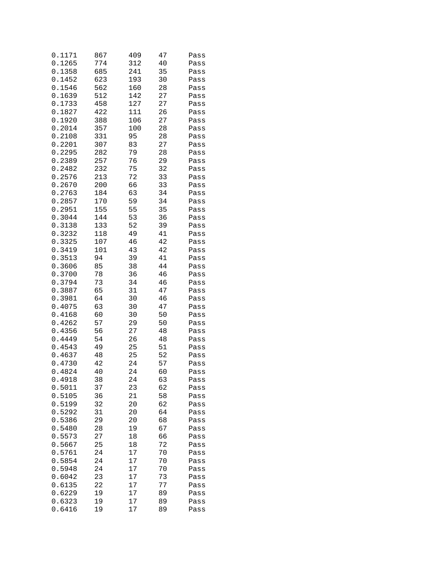| 0.1171           | 867      | 409      | 47       | Pass         |
|------------------|----------|----------|----------|--------------|
| 0.1265           | 774      | 312      | 40       | Pass         |
| 0.1358           | 685      | 241      | 35       | Pass         |
| 0.1452           | 623      | 193      | 30       | Pass         |
| 0.1546           | 562      | 160      | 28       | Pass         |
| 0.1639           | 512      | 142      | 27       | Pass         |
| 0.1733           | 458      | 127      | 27       | Pass         |
| 0.1827           | 422      | 111      | 26       | Pass         |
| 0.1920           | 388      | 106      | 27       | Pass         |
| 0.2014           | 357      | 100      | 28       | Pass         |
| 0.2108           | 331      | 95       | 28       | Pass         |
| 0.2201           | 307      | 83       | 27       | Pass         |
| 0.2295           | 282      | 79       | 28       | Pass         |
| 0.2389           | 257      | 76       | 29       | Pass         |
| 0.2482           | 232      | 75       | 32       | Pass         |
| 0.2576           | 213      | 72       | 33       | Pass         |
| 0.2670           | 200      | 66       | 33       | Pass         |
| 0.2763           | 184      | 63       | 34       | Pass         |
| 0.2857           | 170      | 59       | 34       | Pass         |
| 0.2951           | 155      | 55       | 35       | Pass         |
| 0.3044           | 144      | 53       | 36       | Pass         |
| 0.3138           | 133      | 52       | 39       | Pass         |
| 0.3232           | 118      | 49       | 41       | Pass         |
| 0.3325           | 107      | 46       | 42       | Pass         |
| 0.3419           | 101      | 43       | 42       | Pass         |
| 0.3513           | 94       | 39       | 41       | Pass         |
| 0.3606           | 85       | 38       | 44       | Pass         |
| 0.3700           | 78       | 36       | 46       | Pass         |
| 0.3794           | 73       | 34       | 46       | Pass         |
| 0.3887           | 65       | 31       | 47       | Pass         |
| 0.3981           | 64       | 30<br>30 | 46       | Pass         |
| 0.4075<br>0.4168 | 63<br>60 | 30       | 47<br>50 | Pass         |
| 0.4262           | 57       | 29       | 50       | Pass         |
| 0.4356           | 56       | 27       | 48       | Pass         |
| 0.4449           | 54       | 26       | 48       | Pass<br>Pass |
| 0.4543           | 49       | 25       | 51       | Pass         |
| 0.4637           | 48       | 25       | 52       | Pass         |
| 0.4730           | 42       | 24       | 57       | Pass         |
| 0.4824           | 40       | 24       | 60       | Pass         |
| 0.4918           | 38       | 24       | 63       | Pass         |
| 0.5011           | 37       | 23       | 62       | Pass         |
| 0.5105           | 36       | 21       | 58       | Pass         |
| 0.5199           | 32       | 20       | 62       | Pass         |
| 0.5292           | 31       | 20       | 64       | Pass         |
| 0.5386           | 29       | 20       | 68       | Pass         |
| 0.5480           | 28       | 19       | 67       | Pass         |
| 0.5573           | 27       | 18       | 66       | Pass         |
| 0.5667           | 25       | 18       | 72       | Pass         |
| 0.5761           | 24       | 17       | 70       | Pass         |
| 0.5854           | 24       | 17       | 70       | Pass         |
| 0.5948           | 24       | 17       | 70       | Pass         |
| 0.6042           | 23       | 17       | 73       | Pass         |
| 0.6135           | 22       | 17       | 77       | Pass         |
| 0.6229           | 19       | 17       | 89       | Pass         |
| 0.6323           | 19       | 17       | 89       | Pass         |
| 0.6416           | 19       | 17       | 89       | Pass         |
|                  |          |          |          |              |